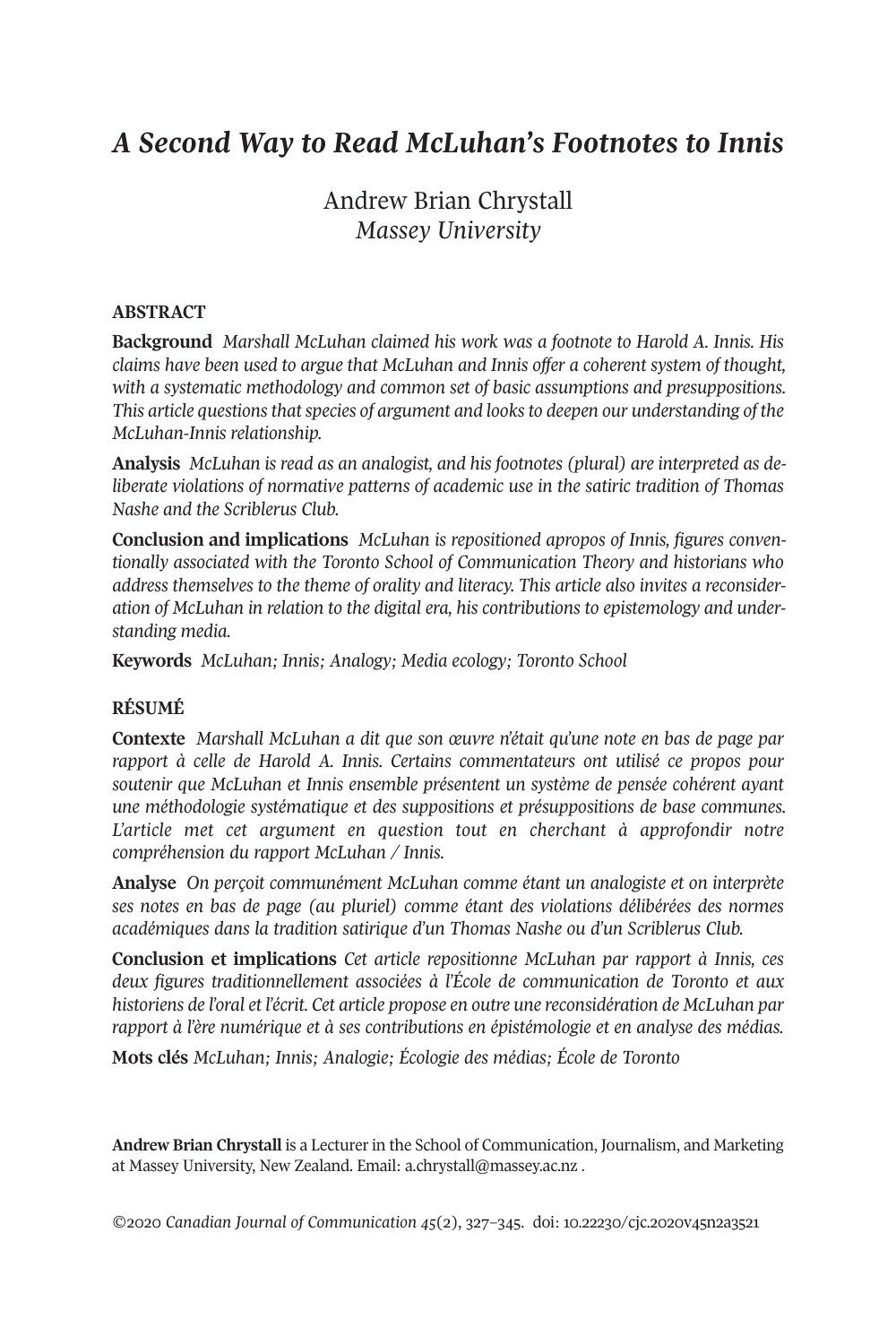# *A Second Way to Read McLuhan's Footnotes to Innis*

## Andrew Brian Chrystall *Massey University*

#### **ABSTRACT**

**Background** *Marshall McLuhan claimed his work was a footnote to Harold A. Innis. His claims have been used to argue that McLuhan and Innis offer a coherent system of thought, with a systematic methodology and common set of basic assumptions and presuppositions. This article questionsthatspecies of argument and looksto deepen our understanding of the McLuhan-Innis relationship.*

**Analysis** *McLuhan is read as an analogist, and his footnotes (plural) are interpreted as deliberate violations of normative patterns of academic use in the satiric tradition of Thomas Nashe and the Scriblerus Club.*

**Conclusion and implications** *McLuhan is repositioned apropos of Innis, figures conventionally associated with the Toronto School of Communication Theory and historians who address themselves to the theme of orality and literacy. This article also invites a reconsideration of McLuhan in relation to the digital era, his contributions to epistemology and understanding media.*

**Keywords** *McLuhan; Innis; Analogy; Media ecology; Toronto School*

#### **RÉSUMÉ**

**Contexte** *Marshall McLuhan a dit que son œuvre n'était qu'une note en bas de page par rapport à celle de Harold A. Innis. Certains commentateurs ont utilisé ce propos pour soutenir que McLuhan et Innis ensemble présentent un système de pensée cohérent ayant une méthodologie systématique et des suppositions et présuppositions de base communes. L'article met cet argument en question tout en cherchant à approfondir notre compréhension du rapport McLuhan / Innis.*

**Analyse** *On perçoit communément McLuhan comme étant un analogiste et on interprète ses notes en bas de page (au pluriel) comme étant des violations délibérées des normes académiques dans la tradition satirique d'un Thomas Nashe ou d'un Scriblerus Club.*

**Conclusion et implications** *Cet article repositionne McLuhan par rapport à Innis, ces deux figures traditionnellement associées à l'École de communication de Toronto et aux historiens de l'oral et l'écrit. Cet article propose en outre une reconsidération de McLuhan par rapport à l'ère numérique et à ses contributions en épistémologie et en analyse des médias.*

**Mots clés** *McLuhan; Innis; Analogie; Écologie des médias; École de Toronto*

**Andrew Brian Chrystall** is a Lecturer in the School of Communication, Journalism, and Marketing at Massey University, New Zealand. Email: [a.chrystall@massey.ac.nz](mailto:a.chrystall@massey.ac.nz) .

*©*2020 *Canadian Journal of [Communication](http://www.cjc-online.ca) 45*(2), 327–345. doi: [10.22230/cjc.2020v45n2a3521](https://doi.org/10.22230/cjc.2020v45n2a3521)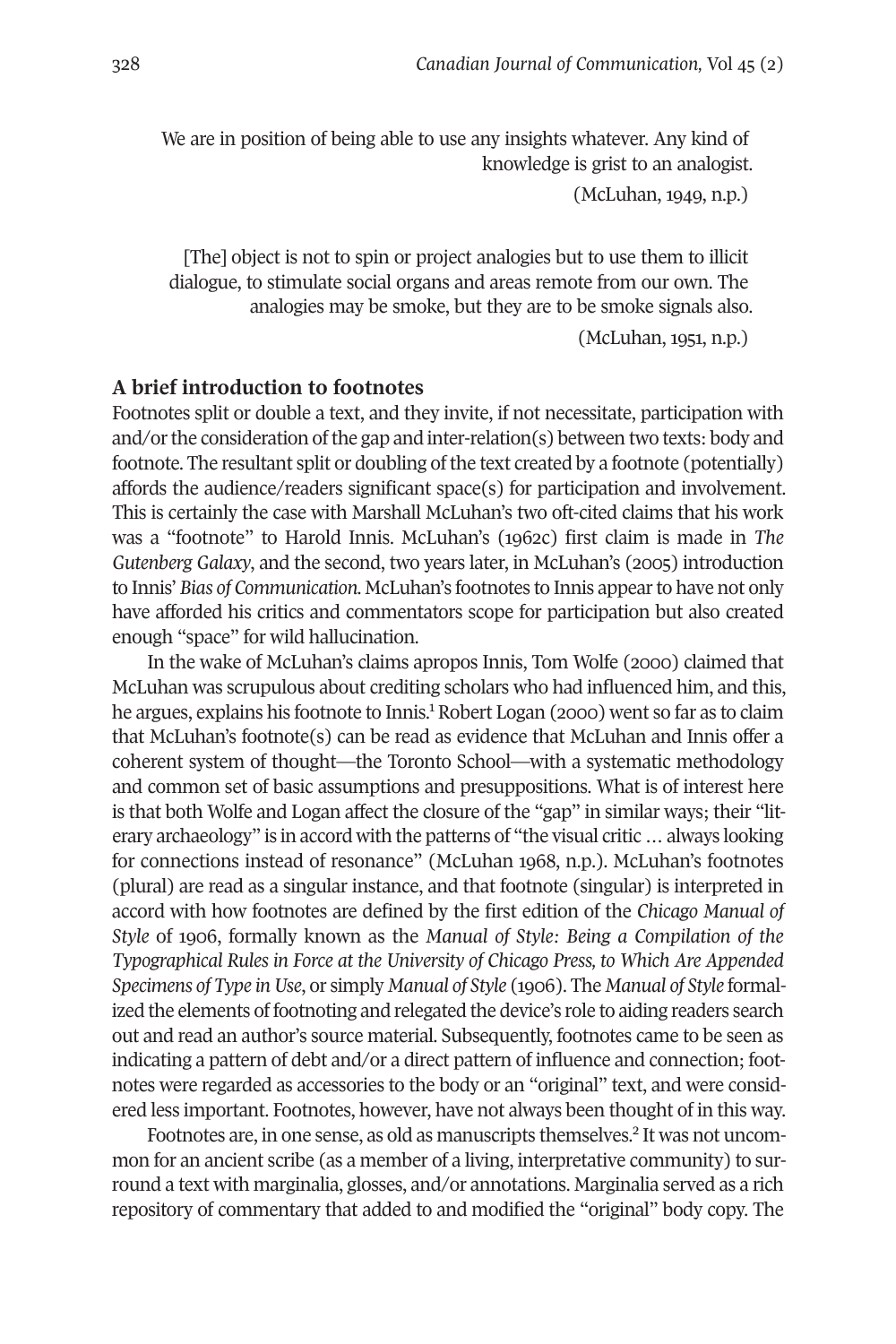We are in position of being able to use any insights whatever. Any kind of knowledge is grist to an analogist.

(McLuhan, 1949, n.p.)

[The] object is not to spin or project analogies but to use them to illicit dialogue, to stimulate social organs and areas remote from our own. The analogies may be smoke, but they are to be smoke signals also.

(McLuhan, 1951, n.p.)

### **A brief introduction to footnotes**

Footnotes split or double a text, and they invite, if not necessitate, participation with and/or the consideration of the gap and inter-relation(s) between two texts: body and footnote. The resultant split or doubling of the text created by a footnote (potentially) affords the audience/readers significant space(s) for participation and involvement. This is certainly the case with Marshall McLuhan's two oft-cited claims that his work was a "footnote" to Harold Innis. McLuhan's (1962c) first claim is made in *The Gutenberg Galaxy*, and the second, two years later, in McLuhan's (2005) introduction to Innis' *Bias of Communication.* McLuhan's footnotes to Innis appearto have not only have afforded his critics and commentators scope for participation but also created enough "space" for wild hallucination.

In the wake of McLuhan's claims apropos Innis, Tom Wolfe (2000) claimed that McLuhan was scrupulous about crediting scholars who had influenced him, and this, he argues, explains his footnote to Innis. [1](#page-15-0) Robert Logan (2000) went so far as to claim that McLuhan's footnote(s) can be read as evidence that McLuhan and Innis offer a coherent system of thought—the Toronto School—with a systematic methodology and common set of basic assumptions and presuppositions. What is of interest here is that both Wolfe and Logan affect the closure of the "gap" in similar ways; their "literary archaeology" is in accord with the patterns of "the visual critic … always looking for connections instead of resonance" (McLuhan 1968, n.p.). McLuhan's footnotes (plural) are read as a singular instance, and that footnote (singular) is interpreted in accord with how footnotes are defined by the first edition of the *Chicago Manual of Style* of 1906, formally known as the *Manual of Style: Being a Compilation of the Typographical Rules in Force at the University of Chicago Press, to Which Are Appended Specimens of Type in Use*, or simply *Manual of Style* (1906). The *Manual of Style* formalized the elements of footnoting and relegated the device's role to aiding readers search out and read an author's source material. Subsequently, footnotes came to be seen as indicating a pattern of debt and/or a direct pattern of influence and connection; footnotes were regarded as accessories to the body or an "original" text, and were considered less important. Footnotes, however, have not always been thought of in this way.

Footnotes are, in one sense, as old as manuscripts themselves. [2](#page-15-1) It was not uncommon for an ancient scribe (as a member of a living, interpretative community) to surround a text with marginalia, glosses, and/or annotations. Marginalia served as a rich repository of commentary that added to and modified the "original" body copy. The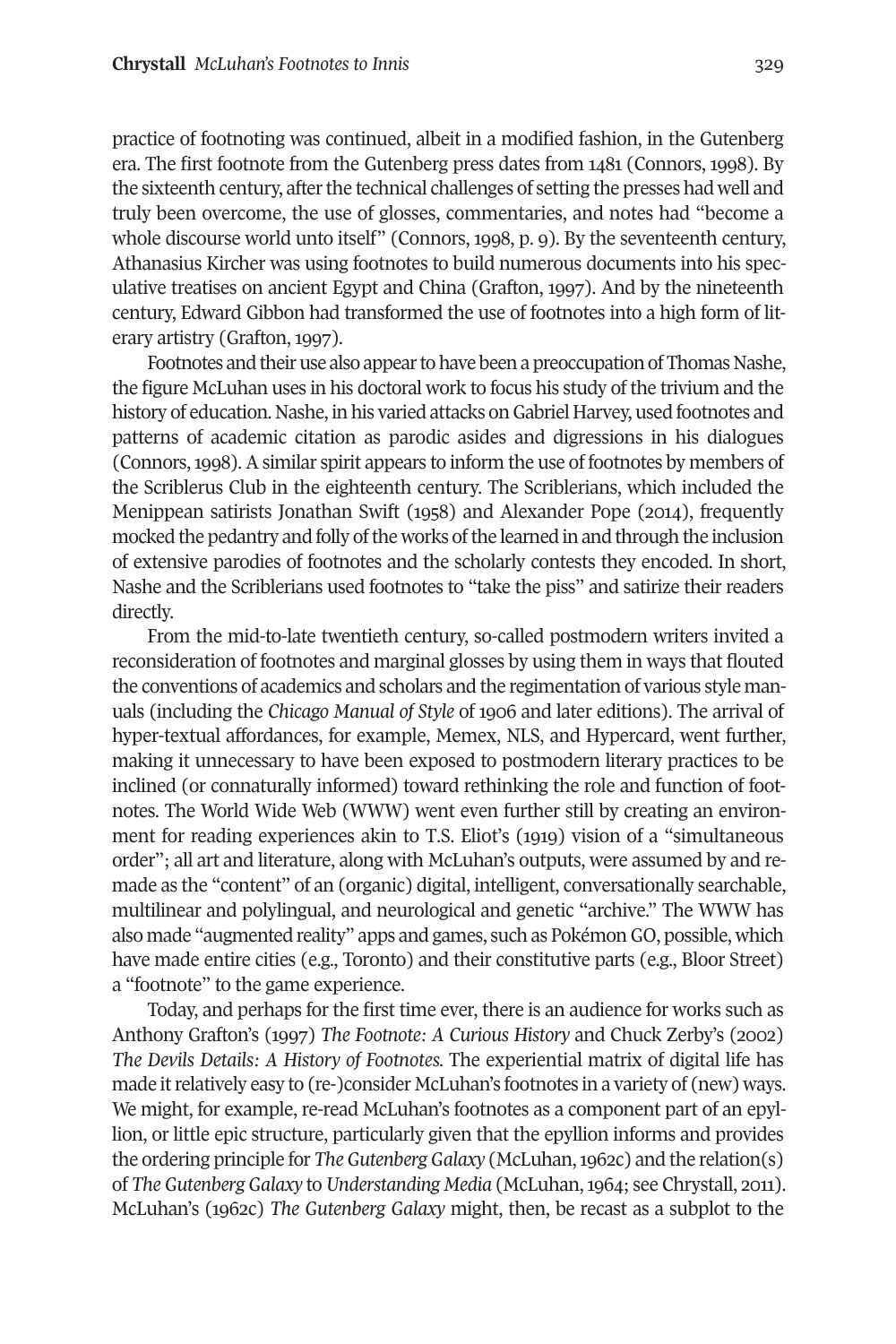practice of footnoting was continued, albeit in a modified fashion, in the Gutenberg era. The first footnote from the Gutenberg press dates from 1481 (Connors, 1998). By the sixteenth century, after the technical challenges of setting the presses had well and truly been overcome, the use of glosses, commentaries, and notes had "become a whole discourse world unto itself" (Connors, 1998, p. 9). By the seventeenth century, Athanasius Kircher was using footnotes to build numerous documents into his speculative treatises on ancient Egypt and China (Grafton, 1997). And by the nineteenth century, Edward Gibbon had transformed the use of footnotes into a high form of literary artistry (Grafton, 1997).

Footnotes and their use also appear to have been a preoccupation of Thomas Nashe, the figure McLuhan uses in his doctoral work to focus his study of the trivium and the history of education. Nashe, in his varied attacks onGabriel Harvey, used footnotes and patterns of academic citation as parodic asides and digressions in his dialogues (Connors,1998). A similar spirit appears to inform the use of footnotes by members of the Scriblerus Club in the eighteenth century. The Scriblerians, which included the Menippean satirists Jonathan Swift (1958) and Alexander Pope (2014), frequently mocked the pedantry and folly of the works of the learned in and through the inclusion of extensive parodies of footnotes and the scholarly contests they encoded. In short, Nashe and the Scriblerians used footnotes to "take the piss" and satirize their readers directly.

From the mid-to-late twentieth century, so-called postmodern writers invited a reconsideration of footnotes and marginal glosses by using them in ways that flouted the conventions of academics and scholars and the regimentation of various style manuals (including the *Chicago Manual of Style* of 1906 and later editions). The arrival of hyper-textual affordances, for example, Memex, NLS, and Hypercard, went further, making it unnecessary to have been exposed to postmodern literary practices to be inclined (or connaturally informed) toward rethinking the role and function of footnotes. The World Wide Web (WWW) went even further still by creating an environment for reading experiences akin to T.S. Eliot's (1919) vision of a "simultaneous order"; all art and literature, along with McLuhan's outputs, were assumed by and remade as the "content" of an (organic) digital, intelligent, conversationally searchable, multilinear and polylingual, and neurological and genetic "archive." The WWW has also made "augmented reality" apps and games, such as PokémonGO, possible, which have made entire cities (e.g., Toronto) and their constitutive parts (e.g., Bloor Street) a "footnote" to the game experience.

Today, and perhaps for the first time ever, there is an audience for works such as Anthony Grafton's (1997) *The Footnote: A Curious History* and Chuck Zerby's (2002) *The Devils Details: A History of Footnotes.* The experiential matrix of digital life has made it relatively easy to (re-)consider McLuhan's footnotes in a variety of (new) ways. We might, for example, re-read McLuhan's footnotes as a component part of an epyllion, or little epic structure, particularly given that the epyllion informs and provides the ordering principle for *The Gutenberg Galaxy* (McLuhan,1962c) and the relation(s) of *The Gutenberg Galaxy* to *Understanding Media* (McLuhan,1964; see Chrystall, 2011). McLuhan's (1962c) *The Gutenberg Galaxy* might, then, be recast as a subplot to the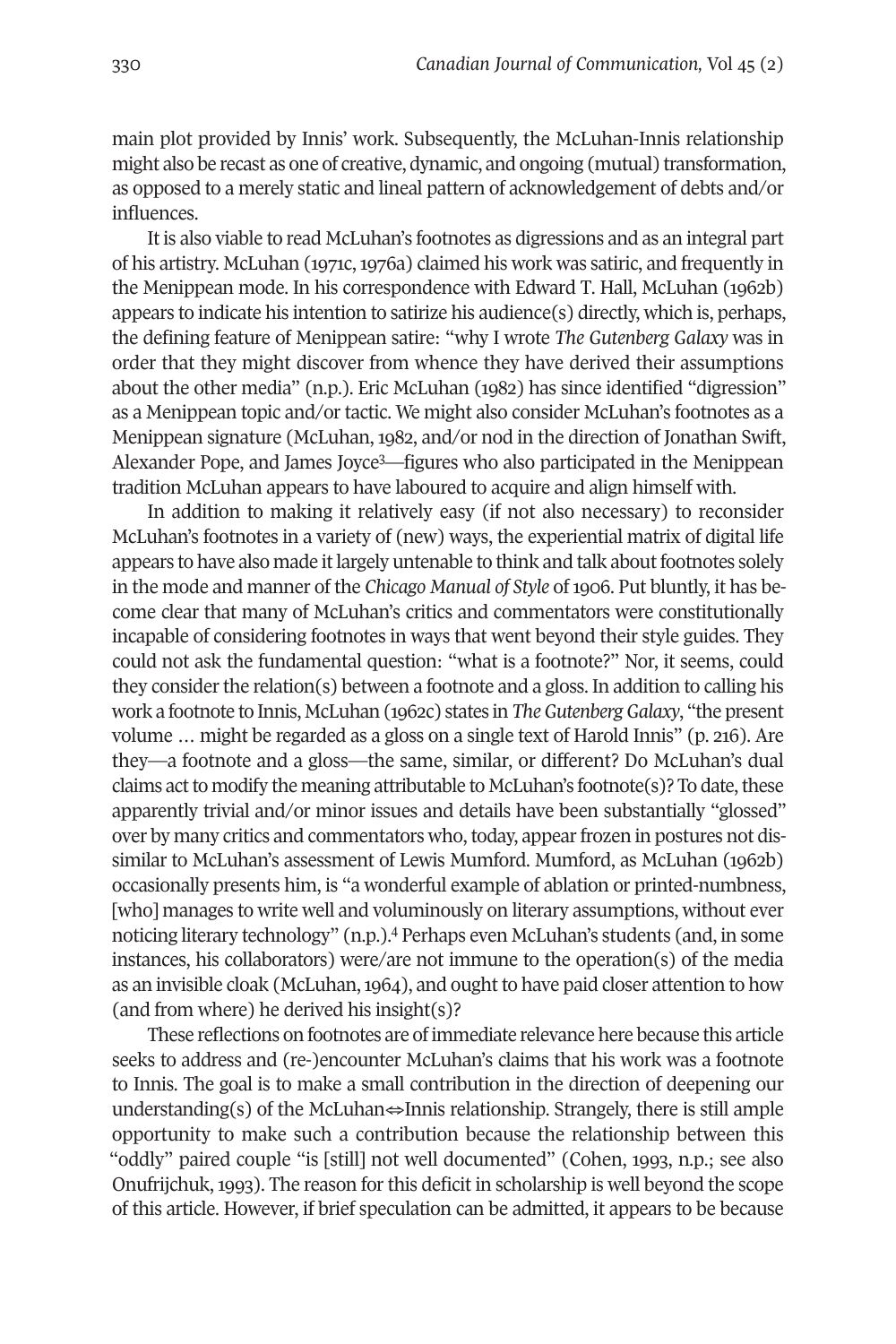main plot provided by Innis' work. Subsequently, the McLuhan-Innis relationship might also be recast as one of creative, dynamic, and ongoing (mutual) transformation, as opposed to a merely static and lineal pattern of acknowledgement of debts and/or influences.

It is also viable to read McLuhan's footnotes as digressions and as an integral part of his artistry. McLuhan (1971c, 1976a) claimed his work was satiric, and frequently in the Menippean mode. In his correspondence with Edward T. Hall, McLuhan (1962b) appears to indicate his intention to satirize his audience(s) directly, which is, perhaps, the defining feature of Menippean satire: "why I wrote *The Gutenberg Galaxy* was in order that they might discover from whence they have derived their assumptions about the other media" (n.p.). Eric McLuhan (1982) has since identified "digression" as a Menippean topic and/or tactic. We might also consider McLuhan's footnotes as a Menippean signature (McLuhan, 1982, and/or nod in the direction of Jonathan Swift, Alexander Pope, and James Joyc[e3](#page-15-2) —figures who also participated in the Menippean tradition McLuhan appears to have laboured to acquire and align himself with.

In addition to making it relatively easy (if not also necessary) to reconsider McLuhan's footnotes in a variety of (new) ways, the experiential matrix of digital life appears to have also made it largely untenable to think and talk about footnotes solely in the mode and manner of the *Chicago Manual of Style* of 1906. Put bluntly, it has become clear that many of McLuhan's critics and commentators were constitutionally incapable of considering footnotes in ways that went beyond their style guides. They could not ask the fundamental question: "what is a footnote?" Nor, it seems, could they consider the relation(s) between a footnote and a gloss. In addition to calling his work a footnote to Innis, McLuhan (1962c) states in *The Gutenberg Galaxy*, "the present volume … might be regarded as a gloss on a single text of Harold Innis" (p. 216). Are they—a footnote and a gloss—the same, similar, or different? Do McLuhan's dual claims act to modify the meaning attributable to McLuhan's footnote(s)? To date, these apparently trivial and/or minor issues and details have been substantially "glossed" over by many critics and commentators who, today, appear frozen in postures not dissimilar to McLuhan's assessment of Lewis Mumford. Mumford, as McLuhan (1962b) occasionally presents him, is "a wonderful example of ablation or printed-numbness, [who] manages to write well and voluminously on literary assumptions, without ever noticing literary technology" (n.p.). [4](#page-15-3) Perhaps even McLuhan's students (and, in some instances, his collaborators) were/are not immune to the operation(s) of the media as an invisible cloak (McLuhan,1964), and ought to have paid closer attention to how (and from where) he derived his insight(s)?

These reflections on footnotes are of immediate relevance here because this article seeks to address and (re-)encounter McLuhan's claims that his work was a footnote to Innis. The goal is to make a small contribution in the direction of deepening our understanding(s) of the McLuhan $\Leftrightarrow$ Innis relationship. Strangely, there is still ample opportunity to make such a contribution because the relationship between this "oddly" paired couple "is [still] not well documented" (Cohen, 1993, n.p.; see also Onufrijchuk, 1993). The reason for this deficit in scholarship is well beyond the scope of this article. However, if brief speculation can be admitted, it appears to be because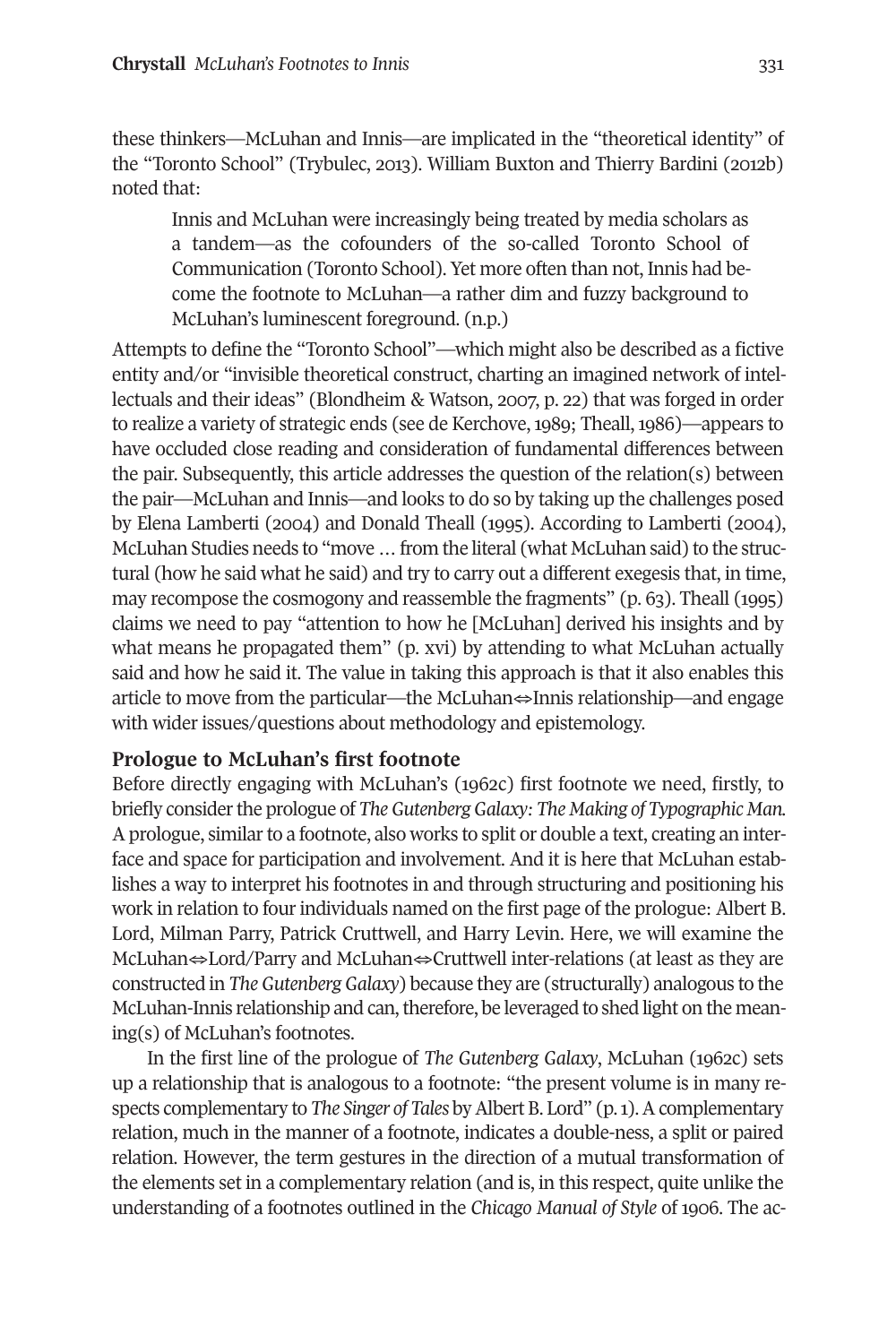these thinkers—McLuhan and Innis—are implicated in the "theoretical identity" of the "Toronto School" (Trybulec, 2013). William Buxton and Thierry Bardini (2012b) noted that:

Innis and McLuhan were increasingly being treated by media scholars as a tandem—as the cofounders of the so-called Toronto School of Communication (Toronto School). Yet more often than not, Innis had become the footnote to McLuhan—a rather dim and fuzzy background to McLuhan's luminescent foreground. (n.p.)

Attempts to define the "Toronto School"—which might also be described as a fictive entity and/or "invisible theoretical construct, charting an imagined network of intellectuals and their ideas" (Blondheim & Watson, 2007, p. 22) that was forged in order to realize a variety of strategic ends (see de Kerchove, 1989; Theall, 1986)—appears to have occluded close reading and consideration of fundamental differences between the pair. Subsequently, this article addresses the question of the relation(s) between the pair—McLuhan and Innis—and looks to do so by taking up the challenges posed by Elena Lamberti (2004) and Donald Theall (1995). According to Lamberti (2004), McLuhan Studies needs to "move ... from the literal (what McLuhan said) to the structural (how he said what he said) and try to carry out a different exegesis that, in time, may recompose the cosmogony and reassemble the fragments" (p. 63). Theall (1995) claims we need to pay "attention to how he [McLuhan] derived his insights and by what means he propagated them" (p. xvi) by attending to what McLuhan actually said and how he said it. The value in taking this approach is that it also enables this article to move from the particular—the McLuhan⇔Innis relationship—and engage with wider issues/questions about methodology and epistemology.

#### **Prologue to McLuhan's first footnote**

Before directly engaging with McLuhan's (1962c) first footnote we need, firstly, to briefly considerthe prologue of *TheGutenbergGalaxy: The Making of Typographic Man.* A prologue, similar to a footnote, also works to split or double a text, creating an interface and space for participation and involvement. And it is here that McLuhan establishes a way to interpret his footnotes in and through structuring and positioning his work in relation to four individuals named on the first page of the prologue: Albert B. Lord, Milman Parry, Patrick Cruttwell, and Harry Levin. Here, we will examine the McLuhan⇔Lord/Parry and McLuhan⇔Cruttwell inter-relations (at least as they are constructed in *TheGutenbergGalaxy*) because they are (structurally) analogous to the McLuhan-Innis relationship and can, therefore, be leveraged to shed light on the meaning(s) of McLuhan's footnotes.

In the first line of the prologue of *The Gutenberg Galaxy*, McLuhan (1962c) sets up a relationship that is analogous to a footnote: "the present volume is in many respects complementary to *The Singer of Tales* byAlbertB. Lord" (p.1).Acomplementary relation, much in the manner of a footnote, indicates a double-ness, a split or paired relation. However, the term gestures in the direction of a mutual transformation of the elements set in a complementary relation (and is, in this respect, quite unlike the understanding of a footnotes outlined in the *Chicago Manual of Style* of 1906. The ac-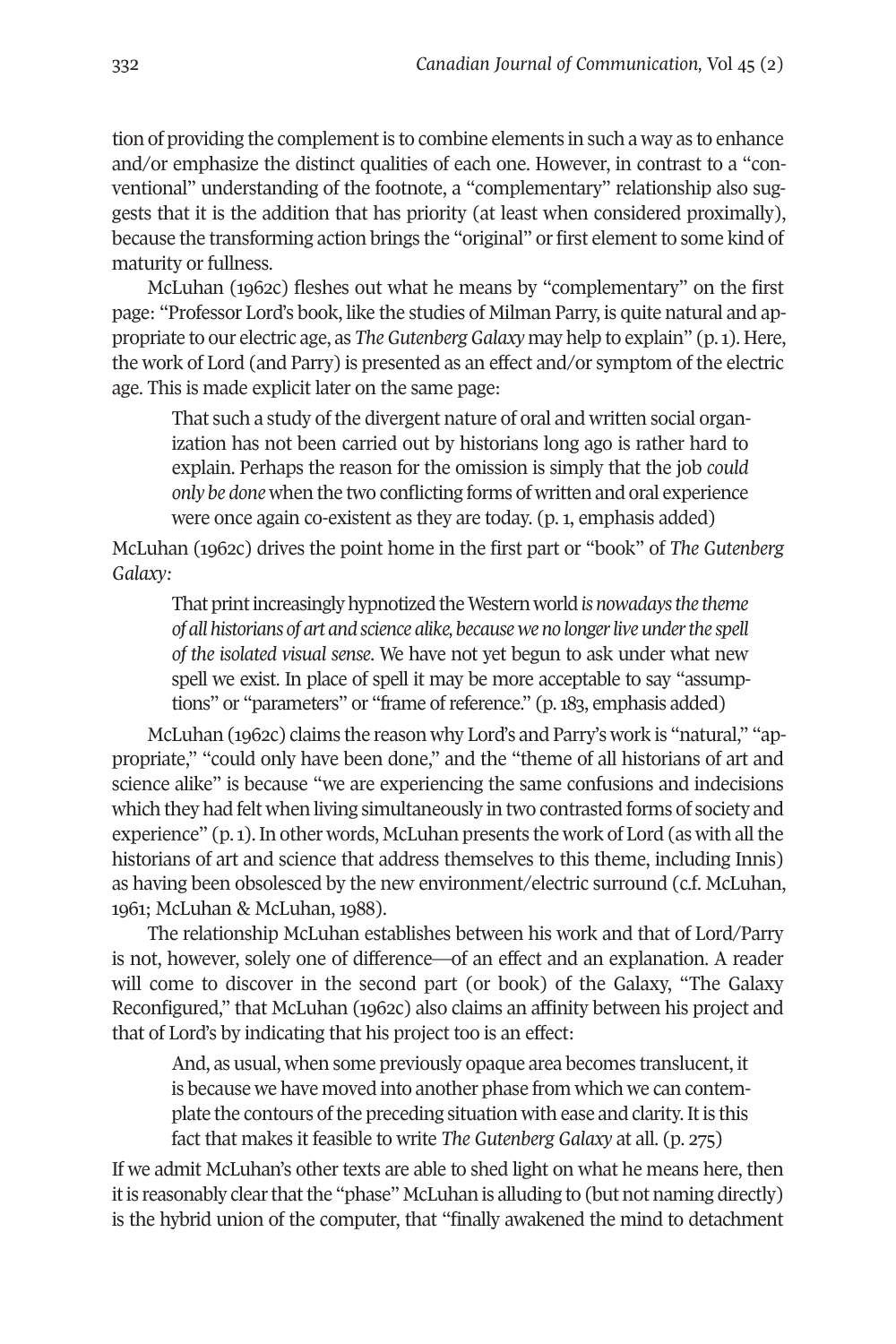tion of providing the complementis to combine elements in such a way as to enhance and/or emphasize the distinct qualities of each one. However, in contrast to a "conventional" understanding of the footnote, a "complementary" relationship also suggests that it is the addition that has priority (at least when considered proximally), because the transforming action brings the "original" or first elementto some kind of maturity or fullness.

McLuhan (1962c) fleshes out what he means by "complementary" on the first page: "Professor Lord's book, like the studies of Milman Parry, is quite natural and appropriate to our electric age, as *TheGutenbergGalaxy* may help to explain" (p.1). Here, the work of Lord (and Parry) is presented as an effect and/or symptom of the electric age. This is made explicit later on the same page:

That such a study of the divergent nature of oral and written social organization has not been carried out by historians long ago is rather hard to explain. Perhaps the reason for the omission is simply that the job *could only be done* when the two conflicting forms of written and oral experience were once again co-existent as they are today. (p. 1, emphasis added)

McLuhan (1962c) drives the point home in the first part or "book" of *The Gutenberg Galaxy:*

That print increasingly hypnotized the Western world *is nowadays the theme of allhistorians of art and science alike, becauseweno longerliveunderthe spell of the isolated visual sense*. We have not yet begun to ask under what new spell we exist. In place of spell it may be more acceptable to say "assumptions" or "parameters" or "frame of reference." (p. 183, emphasis added)

McLuhan (1962c) claims the reason why Lord's and Parry's work is "natural," "appropriate," "could only have been done," and the "theme of all historians of art and science alike" is because "we are experiencing the same confusions and indecisions which they had felt when living simultaneously in two contrasted forms of society and experience" (p.1). In other words, McLuhan presents the work of Lord (as with all the historians of art and science that address themselves to this theme, including Innis) as having been obsolesced by the new environment/electric surround (c.f. McLuhan, 1961; McLuhan & McLuhan, 1988).

The relationship McLuhan establishes between his work and that of Lord/Parry is not, however, solely one of difference—of an effect and an explanation. A reader will come to discover in the second part (or book) of the Galaxy, "The Galaxy Reconfigured," that McLuhan (1962c) also claims an affinity between his project and that of Lord's by indicating that his project too is an effect:

And, as usual, when some previously opaque area becomes translucent, it is because we have moved into another phase from which we can contemplate the contours of the preceding situation with ease and clarity. It is this fact that makes it feasible to write *The Gutenberg Galaxy* at all. (p. 275)

If we admit McLuhan's other texts are able to shed light on what he means here, then it is reasonably clear that the "phase" McLuhan is alluding to (but not naming directly) is the hybrid union of the computer, that "finally awakened the mind to detachment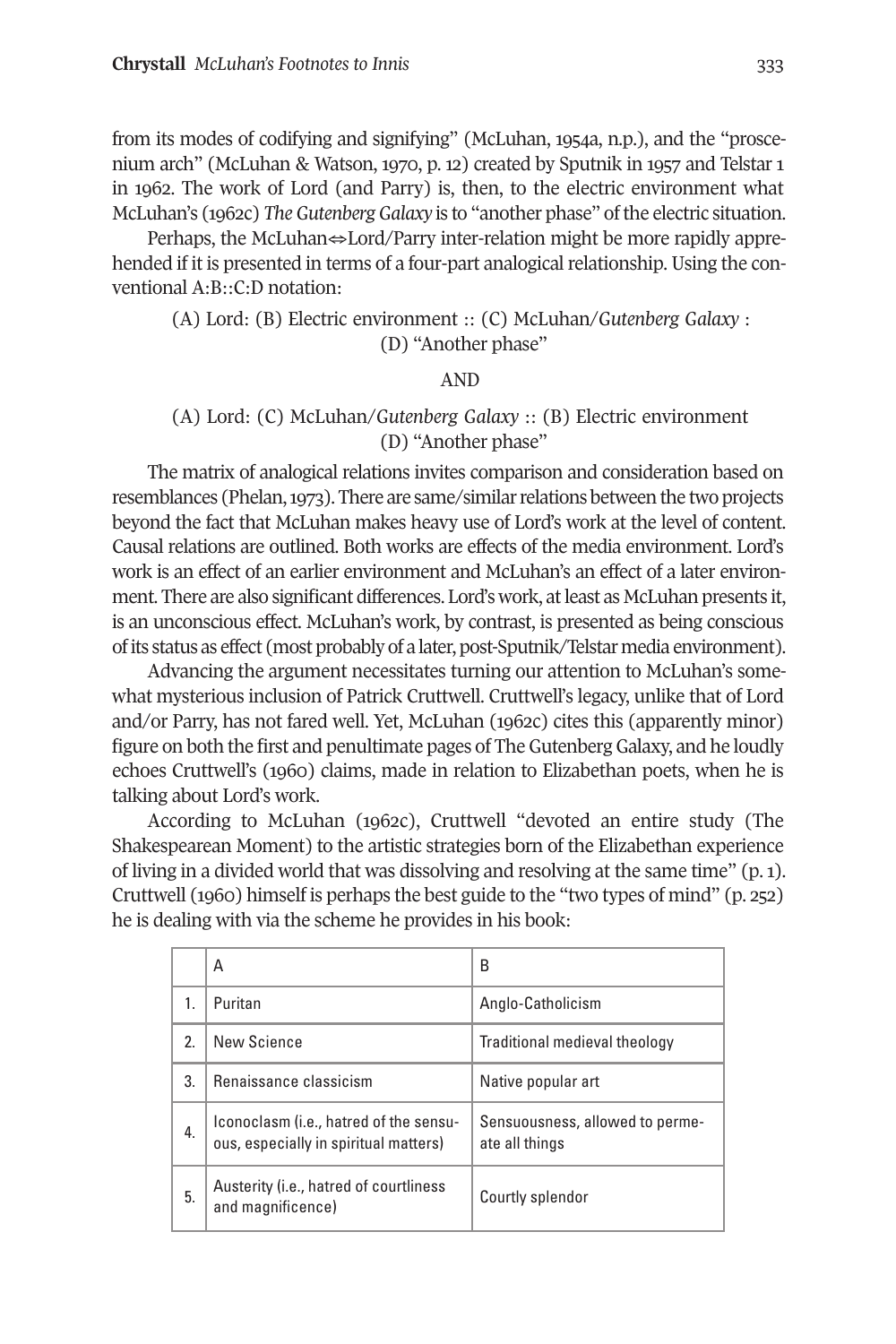from its modes of codifying and signifying" (McLuhan, 1954a, n.p.), and the "proscenium arch" (McLuhan & Watson, 1970, p. 12) created by Sputnik in 1957 and Telstar 1 in 1962. The work of Lord (and Parry) is, then, to the electric environment what McLuhan's (1962c) *The Gutenberg Galaxy* is to "another phase" of the electric situation.

Perhaps, the McLuhan⇔Lord/Parry inter-relation might be more rapidly apprehended if it is presented in terms of a four-part analogical relationship. Using the conventional A:B::C:D notation:

(A) Lord: (B) Electric environment :: (C) McLuhan/*Gutenberg Galaxy* : (D) "Another phase"

#### AND

#### (A) Lord: (C) McLuhan/*Gutenberg Galaxy* :: (B) Electric environment (D) "Another phase"

The matrix of analogical relations invites comparison and consideration based on resemblances (Phelan, 1973). There are same/similar relations between the two projects beyond the fact that McLuhan makes heavy use of Lord's work at the level of content. Causal relations are outlined. Both works are effects of the media environment. Lord's work is an effect of an earlier environment and McLuhan's an effect of a later environment. There are also significant differences. Lord's work, atleast as McLuhan presents it, is an unconscious effect. McLuhan's work, by contrast, is presented as being conscious of its status as effect (most probably of a later, post-Sputnik/Telstar media environment).

Advancing the argument necessitates turning our attention to McLuhan's somewhat mysterious inclusion of Patrick Cruttwell. Cruttwell's legacy, unlike that of Lord and/or Parry, has not fared well. Yet, McLuhan (1962c) cites this (apparently minor) figure on both the first and penultimate pages of TheGutenbergGalaxy, and he loudly echoes Cruttwell's (1960) claims, made in relation to Elizabethan poets, when he is talking about Lord's work.

According to McLuhan (1962c), Cruttwell "devoted an entire study (The Shakespearean Moment) to the artistic strategies born of the Elizabethan experience of living in a divided world that was dissolving and resolving at the same time" (p. 1). Cruttwell (1960) himself is perhaps the best guide to the "two types of mind" (p. 252) he is dealing with via the scheme he provides in his book:

|  |              | Α                                                                               | B                                                 |
|--|--------------|---------------------------------------------------------------------------------|---------------------------------------------------|
|  | $\mathbf{1}$ | Puritan                                                                         | Anglo-Catholicism                                 |
|  | 2.           | New Science                                                                     | Traditional medieval theology                     |
|  | 3.           | Renaissance classicism                                                          | Native popular art                                |
|  | 4.           | Iconoclasm (i.e., hatred of the sensu-<br>ous, especially in spiritual matters) | Sensuousness, allowed to perme-<br>ate all things |
|  | 5.           | Austerity (i.e., hatred of courtliness<br>and magnificence)                     | Courtly splendor                                  |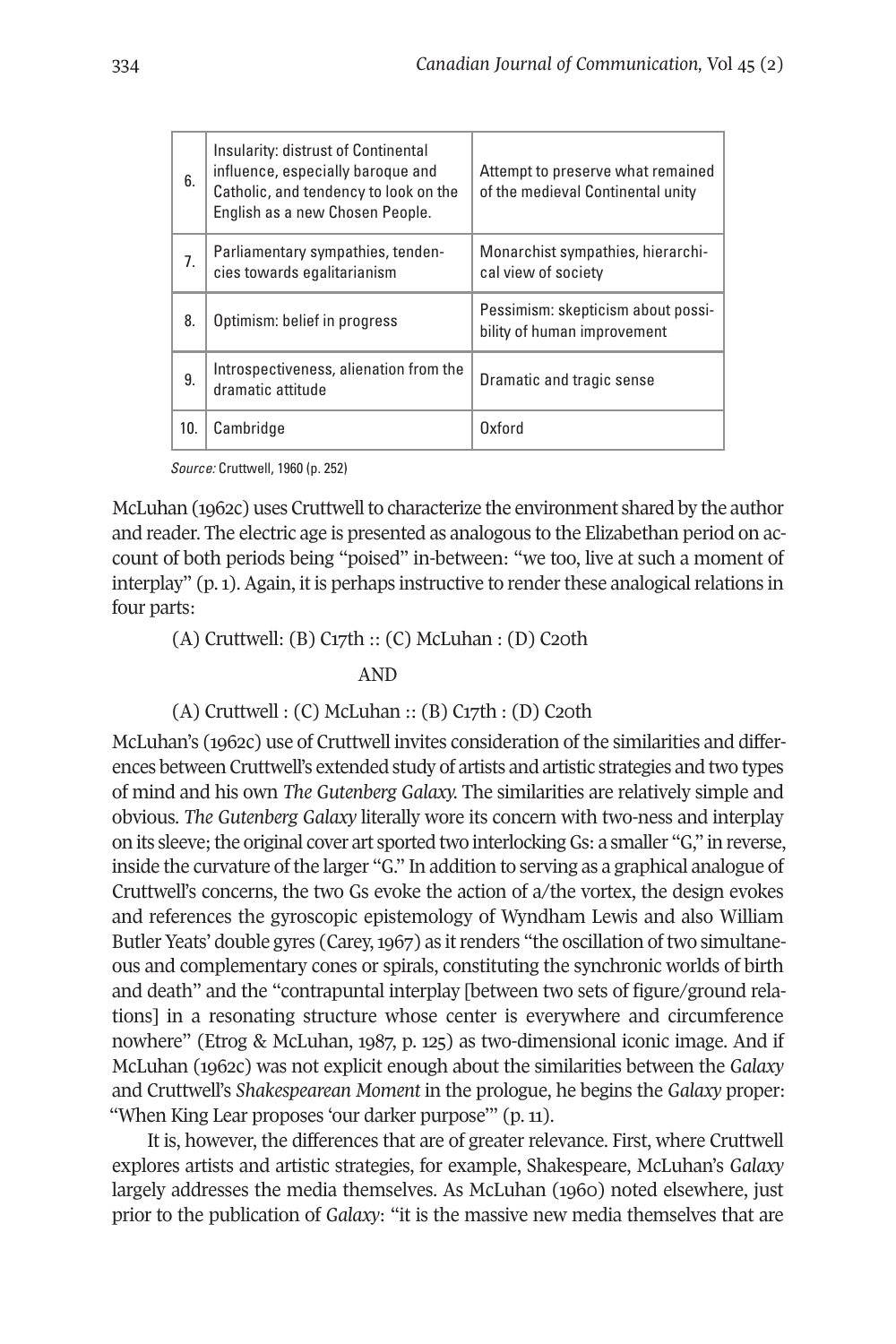| 6.  | Insularity: distrust of Continental<br>influence, especially baroque and<br>Catholic, and tendency to look on the<br>English as a new Chosen People. | Attempt to preserve what remained<br>of the medieval Continental unity |
|-----|------------------------------------------------------------------------------------------------------------------------------------------------------|------------------------------------------------------------------------|
| 7.  | Parliamentary sympathies, tenden-<br>cies towards eqalitarianism                                                                                     | Monarchist sympathies, hierarchi-<br>cal view of society               |
| 8.  | Optimism: belief in progress                                                                                                                         | Pessimism: skepticism about possi-<br>bility of human improvement      |
| 9.  | Introspectiveness, alienation from the<br>dramatic attitude                                                                                          | Dramatic and tragic sense                                              |
| 10. | Cambridge                                                                                                                                            | Oxford                                                                 |

Source: Cruttwell, 1960 (p. 252)

McLuhan (1962c) uses Cruttwell to characterize the environment shared by the author and reader. The electric age is presented as analogous to the Elizabethan period on account of both periods being "poised" in-between: "we too, live at such a moment of interplay"  $(p, 1)$ . Again, it is perhaps instructive to render these analogical relations in four parts:

(A) Cruttwell: (B) C17th :: (C) McLuhan : (D) C20th

AND

#### (A) Cruttwell : (C) McLuhan :: (B) C17th : (D) C20th

McLuhan's (1962c) use of Cruttwell invites consideration of the similarities and differences between Cruttwell's extended study of artists and artistic strategies and two types of mind and his own *The Gutenberg Galaxy.* The similarities are relatively simple and obvious. *The Gutenberg Galaxy* literally wore its concern with two-ness and interplay on its sleeve;the original cover art sported two interlockingGs: a smaller "G," in reverse, inside the curvature of the larger "G." In addition to serving as a graphical analogue of Cruttwell's concerns, the two Gs evoke the action of a/the vortex, the design evokes and references the gyroscopic epistemology of Wyndham Lewis and also William Butler Yeats' double gyres (Carey, 1967) as it renders "the oscillation of two simultaneous and complementary cones or spirals, constituting the synchronic worlds of birth and death" and the "contrapuntal interplay [between two sets of figure/ground relations] in a resonating structure whose center is everywhere and circumference nowhere" (Etrog & McLuhan, 1987, p. 125) as two-dimensional iconic image. And if McLuhan (1962c) was not explicit enough about the similarities between the *Galaxy* and Cruttwell's *Shakespearean Moment* in the prologue, he begins the *Galaxy* proper: "When King Lear proposes 'our darker purpose'" (p. 11).

It is, however, the differences that are of greater relevance. First, where Cruttwell explores artists and artistic strategies, for example, Shakespeare, McLuhan's *Galaxy* largely addresses the media themselves. As McLuhan (1960) noted elsewhere, just prior to the publication of *Galaxy*: "it is the massive new media themselves that are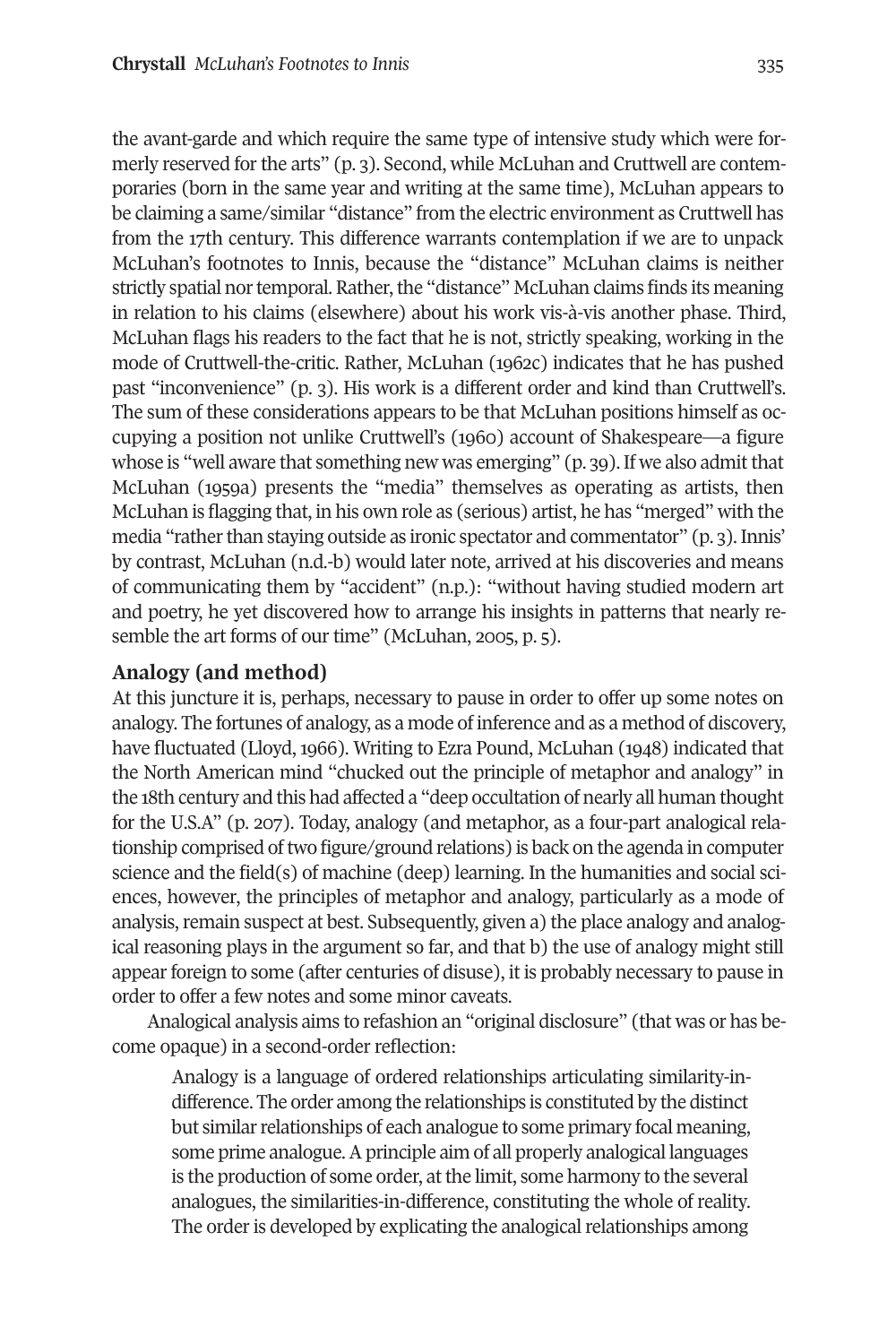the avant-garde and which require the same type of intensive study which were formerly reserved for the arts" (p. 3). Second, while McLuhan and Cruttwell are contemporaries (born in the same year and writing at the same time), McLuhan appears to be claiming a same/similar "distance" from the electric environment as Cruttwell has from the 17th century. This difference warrants contemplation if we are to unpack McLuhan's footnotes to Innis, because the "distance" McLuhan claims is neither strictly spatial nor temporal. Rather, the "distance" McLuhan claims finds its meaning in relation to his claims (elsewhere) about his work vis-à-vis another phase. Third, McLuhan flags his readers to the fact that he is not, strictly speaking, working in the mode of Cruttwell-the-critic. Rather, McLuhan (1962c) indicates that he has pushed past "inconvenience" (p. 3). His work is a different order and kind than Cruttwell's. The sum of these considerations appears to be that McLuhan positions himself as occupying a position not unlike Cruttwell's (1960) account of Shakespeare—a figure whose is "well aware that something new was emerging" (p. 39). If we also admit that McLuhan (1959a) presents the "media" themselves as operating as artists, then McLuhan is flagging that, in his own role as (serious) artist, he has "merged" with the media "rather than staying outside as ironic spectator and commentator" (p. 3). Innis' by contrast, McLuhan (n.d.-b) would later note, arrived at his discoveries and means of communicating them by "accident" (n.p.): "without having studied modern art and poetry, he yet discovered how to arrange his insights in patterns that nearly resemble the art forms of our time" (McLuhan, 2005, p. 5).

#### **Analogy (and method)**

At this juncture it is, perhaps, necessary to pause in order to offer up some notes on analogy. The fortunes of analogy, as a mode of inference and as a method of discovery, have fluctuated (Lloyd, 1966). Writing to Ezra Pound, McLuhan (1948) indicated that the North American mind "chucked out the principle of metaphor and analogy" in the 18th century and this had affected a "deep occultation of nearly all human thought for the U.S.A" (p. 207). Today, analogy (and metaphor, as a four-part analogical relationship comprised oftwo figure/ground relations) is back on the agenda in computer science and the field(s) of machine (deep) learning. In the humanities and social sciences, however, the principles of metaphor and analogy, particularly as a mode of analysis, remain suspect at best. Subsequently, given a) the place analogy and analogical reasoning plays in the argument so far, and that b) the use of analogy might still appear foreign to some (after centuries of disuse), it is probably necessary to pause in order to offer a few notes and some minor caveats.

Analogical analysis aims to refashion an "original disclosure" (that was or has become opaque) in a second-order reflection:

Analogy is a language of ordered relationships articulating similarity-indifference. The order among the relationships is constituted by the distinct but similar relationships of each analogue to some primary focal meaning, some prime analogue. A principle aim of all properly analogical languages is the production of some order, at the limit, some harmony to the several analogues, the similarities-in-difference, constituting the whole of reality. The order is developed by explicating the analogical relationships among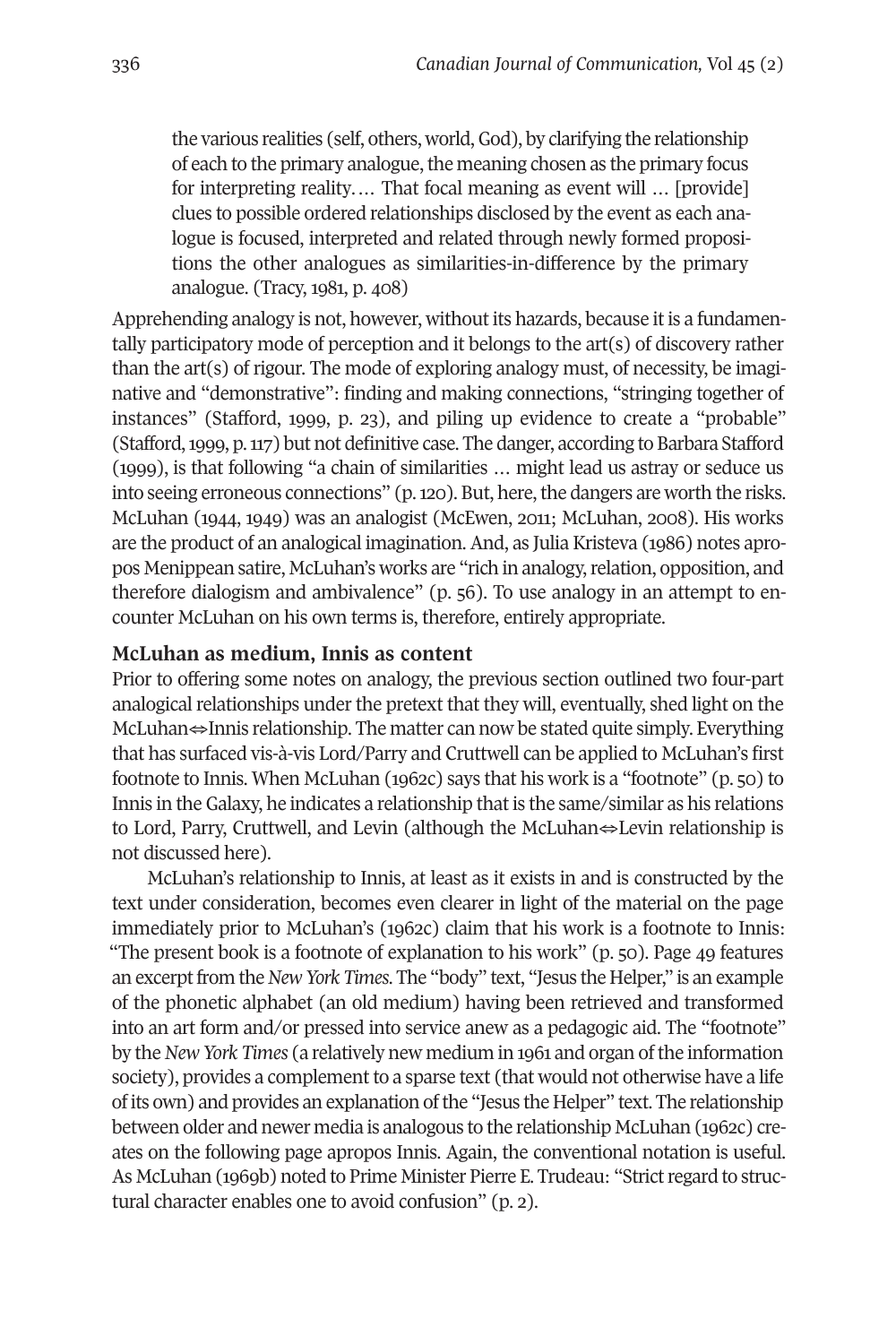the various realities (self, others, world,God), by clarifying the relationship of each to the primary analogue, the meaning chosen as the primary focus for interpreting reality.… That focal meaning as event will … [provide] clues to possible ordered relationships disclosed by the event as each analogue is focused, interpreted and related through newly formed propositions the other analogues as similarities-in-difference by the primary analogue. (Tracy, 1981, p. 408)

Apprehending analogy is not, however, without its hazards, because it is a fundamentally participatory mode of perception and it belongs to the art(s) of discovery rather than the art(s) of rigour. The mode of exploring analogy must, of necessity, be imaginative and "demonstrative": finding and making connections, "stringing together of instances" (Stafford, 1999, p. 23), and piling up evidence to create a "probable" (Stafford,1999, p.117) but not definitive case. The danger, according to Barbara Stafford (1999), is that following "a chain of similarities … might lead us astray or seduce us into seeing erroneous connections" (p. 120). But, here, the dangers are worth the risks. McLuhan (1944, 1949) was an analogist (McEwen, 2011; McLuhan, 2008). His works are the product of an analogical imagination. And, as Julia Kristeva (1986) notes apropos Menippean satire, McLuhan's works are "rich in analogy,relation, opposition, and therefore dialogism and ambivalence" (p. 56). To use analogy in an attempt to encounter McLuhan on his own terms is, therefore, entirely appropriate.

#### **McLuhan as medium, Innis as content**

Prior to offering some notes on analogy, the previous section outlined two four-part analogical relationships under the pretext that they will, eventually, shed light on the McLuhan⇔Innis relationship. The matter can now be stated quite simply. Everything that has surfaced vis-à-vis Lord/Parry and Cruttwell can be applied to McLuhan's first footnote to Innis. When McLuhan (1962c) says that his work is a "footnote" (p. 50) to Innis in the Galaxy, he indicates a relationship that is the same/similar as his relations to Lord, Parry, Cruttwell, and Levin (although the McLuhan⇔Levin relationship is not discussed here).

McLuhan's relationship to Innis, at least as it exists in and is constructed by the text under consideration, becomes even clearer in light of the material on the page immediately prior to McLuhan's (1962c) claim that his work is a footnote to Innis: "The present book is a footnote of explanation to his work" (p. 50). Page 49 features an excerpt from the *New York Times*. The "body" text, "Jesus the Helper," is an example of the phonetic alphabet (an old medium) having been retrieved and transformed into an art form and/or pressed into service anew as a pedagogic aid. The "footnote" by the*New York Times* (a relatively new medium in 1961 and organ ofthe information society), provides a complement to a sparse text (that would not otherwise have a life ofits own) and provides an explanation ofthe "Jesus the Helper" text. The relationship between older and newer media is analogous to the relationship McLuhan (1962c) creates on the following page apropos Innis. Again, the conventional notation is useful. As McLuhan (1969b) noted to Prime Minister Pierre E. Trudeau: "Strict regard to structural character enables one to avoid confusion" (p. 2).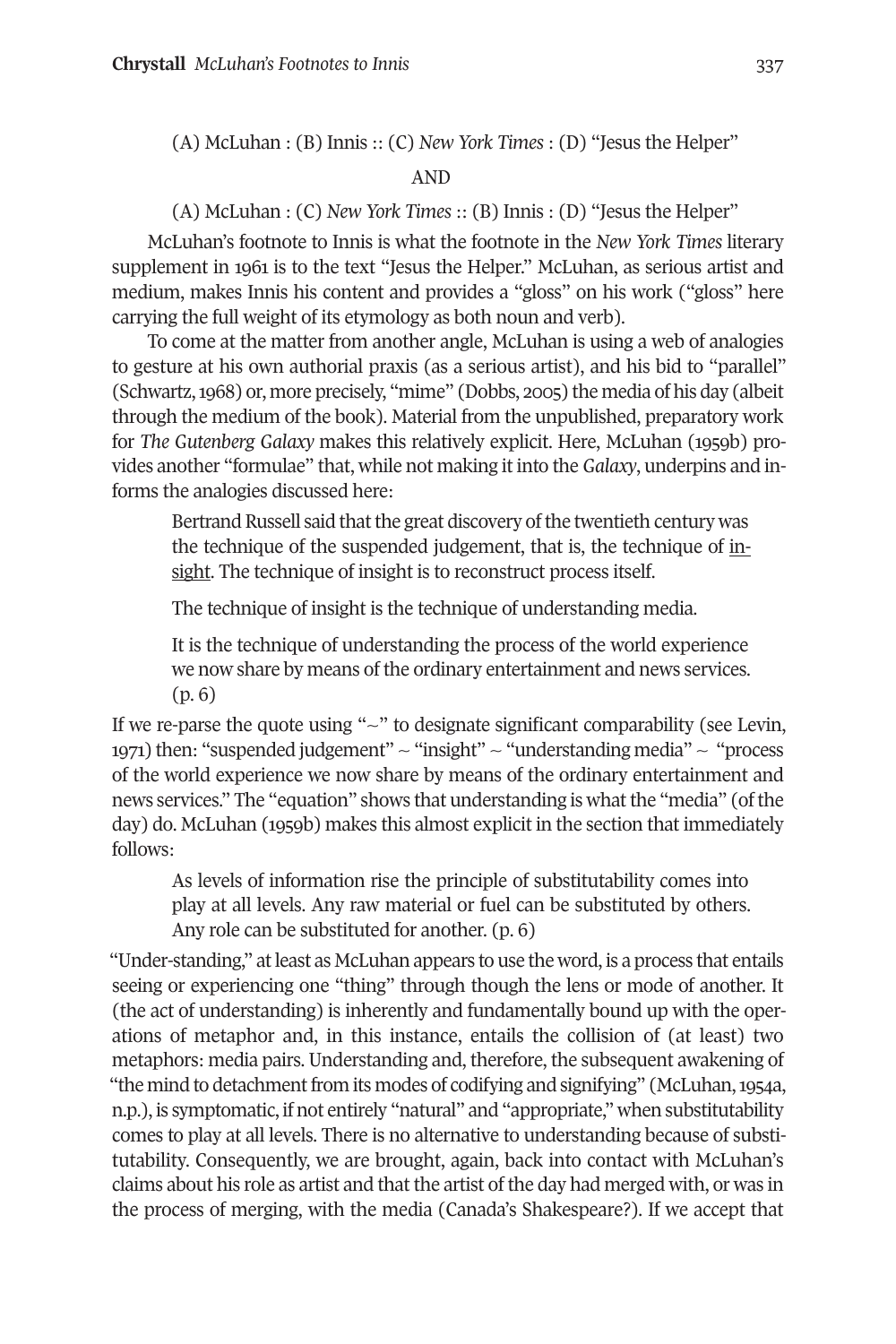(A) McLuhan : (B) Innis :: (C) *New York Times* : (D) "Jesus the Helper"

AND

(A) McLuhan : (C) *New York Times* :: (B) Innis : (D) "Jesus the Helper"

McLuhan's footnote to Innis is what the footnote in the *New York Times* literary supplement in 1961 is to the text "Jesus the Helper." McLuhan, as serious artist and medium, makes Innis his content and provides a "gloss" on his work ("gloss" here carrying the full weight of its etymology as both noun and verb).

To come at the matter from another angle, McLuhan is using a web of analogies to gesture at his own authorial praxis (as a serious artist), and his bid to "parallel" (Schwartz,1968) or, more precisely, "mime" (Dobbs, 2005) the media of his day (albeit through the medium of the book). Material from the unpublished, preparatory work for *The Gutenberg Galaxy* makes this relatively explicit. Here, McLuhan (1959b) provides another "formulae" that, while not making it into the *Galaxy*, underpins and informs the analogies discussed here:

Bertrand Russell said that the great discovery of the twentieth century was the technique of the suspended judgement, that is, the technique of insight. The technique of insight is to reconstruct process itself.

The technique of insight is the technique of understanding media.

It is the technique of understanding the process of the world experience we now share by means of the ordinary entertainment and news services. (p. 6)

If we re-parse the quote using "~" to designate significant comparability (see Levin, 1971) then: "suspended judgement"  $\sim$  "insight"  $\sim$  "understanding media"  $\sim$  "process of the world experience we now share by means of the ordinary entertainment and news services." The "equation" shows that understanding is what the "media" (of the day) do. McLuhan (1959b) makes this almost explicit in the section that immediately follows:

As levels of information rise the principle of substitutability comes into play at all levels. Any raw material or fuel can be substituted by others. Any role can be substituted for another. (p. 6)

"Under-standing," atleast as McLuhan appears to use the word, is a process that entails seeing or experiencing one "thing" through though the lens or mode of another. It (the act of understanding) is inherently and fundamentally bound up with the operations of metaphor and, in this instance, entails the collision of (at least) two metaphors: media pairs. Understanding and, therefore, the subsequent awakening of "the mind to detachment from its modes of codifying and signifying" (McLuhan, 1954a, n.p.), is symptomatic, if not entirely "natural" and "appropriate," when substitutability comes to play at all levels. There is no alternative to understanding because of substitutability. Consequently, we are brought, again, back into contact with McLuhan's claims about his role as artist and that the artist of the day had merged with, or was in the process of merging, with the media (Canada's Shakespeare?). If we accept that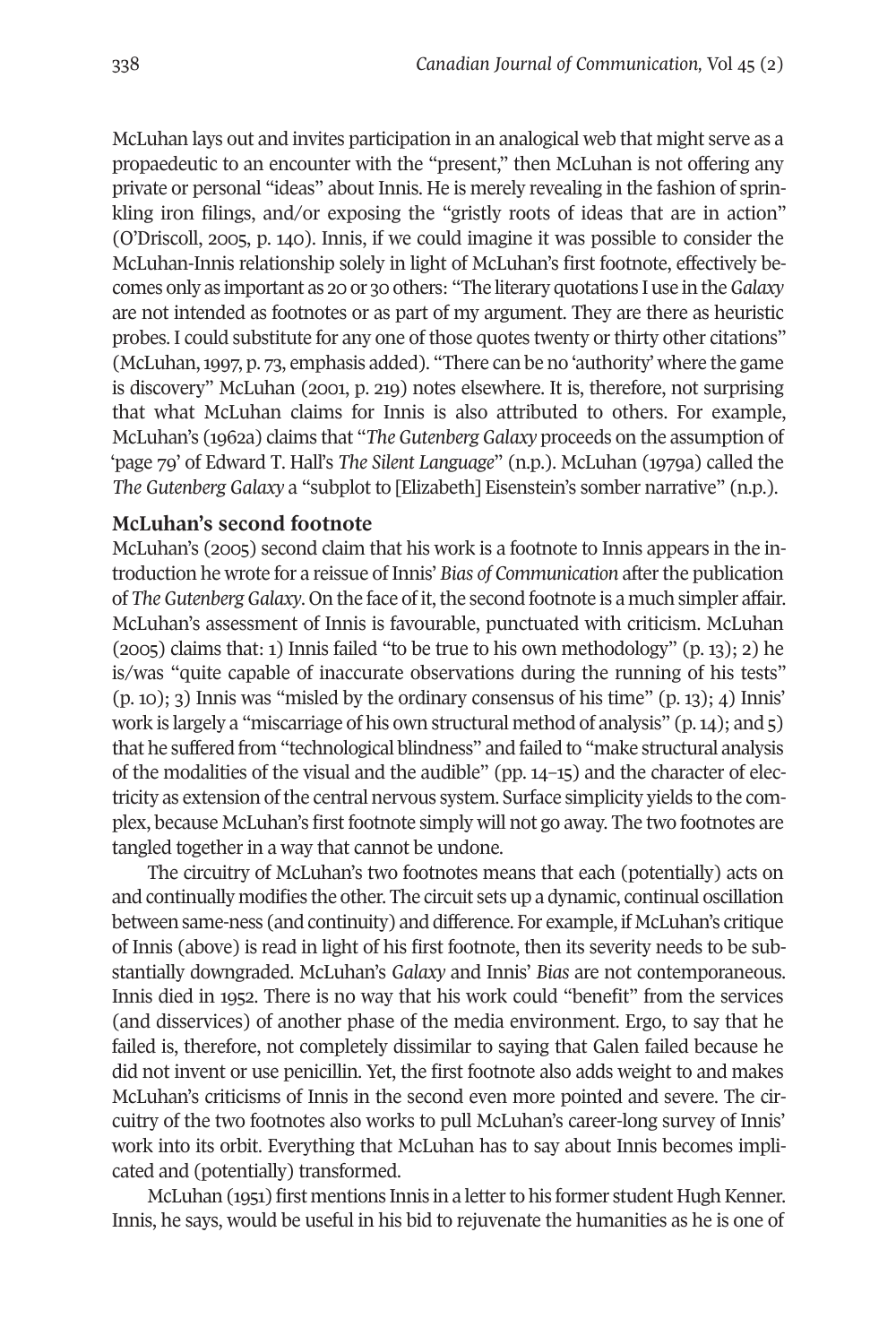McLuhan lays out and invites participation in an analogical web that might serve as a propaedeutic to an encounter with the "present," then McLuhan is not offering any private or personal "ideas" about Innis. He is merely revealing in the fashion of sprinkling iron filings, and/or exposing the "gristly roots of ideas that are in action" (O'Driscoll, 2005, p. 140). Innis, if we could imagine it was possible to consider the McLuhan-Innis relationship solely in light of McLuhan's first footnote, effectively becomes only as important as 20 or 30 others: "The literary quotations I use in the*Galaxy* are not intended as footnotes or as part of my argument. They are there as heuristic probes. I could substitute for any one of those quotes twenty orthirty other citations" (McLuhan,1997, p. 73, emphasis added). "There can be no 'authority' where the game is discovery" McLuhan (2001, p. 219) notes elsewhere. It is, therefore, not surprising that what McLuhan claims for Innis is also attributed to others. For example, McLuhan's (1962a) claims that "*The Gutenberg Galaxy* proceeds on the assumption of 'page 79' of Edward T. Hall's *The Silent Language*" (n.p.). McLuhan (1979a) called the *The Gutenberg Galaxy* a "subplot to [Elizabeth] Eisenstein's somber narrative" (n.p.).

#### **McLuhan's second footnote**

McLuhan's (2005) second claim that his work is a footnote to Innis appears in the introduction he wrote for a reissue of Innis' *Bias of Communication* afterthe publication of *The Gutenberg Galaxy*. On the face of it, the second footnote is a much simpler affair. McLuhan's assessment of Innis is favourable, punctuated with criticism. McLuhan  $(2005)$  claims that: 1) Innis failed "to be true to his own methodology"  $(p, 13)$ ; 2) he is/was "quite capable of inaccurate observations during the running of his tests" (p. 10); 3) Innis was "misled by the ordinary consensus of his time" (p. 13); 4) Innis' work is largely a "miscarriage of his own structural method of analysis" (p.14); and 5) that he suffered from "technological blindness" and failed to "make structural analysis of the modalities of the visual and the audible" (pp. 14–15) and the character of electricity as extension of the central nervous system. Surface simplicity yields to the complex, because McLuhan's first footnote simply will not go away. The two footnotes are tangled together in a way that cannot be undone.

The circuitry of McLuhan's two footnotes means that each (potentially) acts on and continually modifies the other. The circuit sets up a dynamic, continual oscillation between same-ness (and continuity) and difference. For example, if McLuhan's critique of Innis (above) is read in light of his first footnote, then its severity needs to be substantially downgraded. McLuhan's *Galaxy* and Innis' *Bias* are not contemporaneous. Innis died in 1952. There is no way that his work could "benefit" from the services (and disservices) of another phase of the media environment. Ergo, to say that he failed is, therefore, not completely dissimilar to saying that Galen failed because he did not invent or use penicillin. Yet, the first footnote also adds weight to and makes McLuhan's criticisms of Innis in the second even more pointed and severe. The circuitry of the two footnotes also works to pull McLuhan's career-long survey of Innis' work into its orbit. Everything that McLuhan has to say about Innis becomes implicated and (potentially) transformed.

McLuhan (1951) first mentions Innis in a letter to his former student Hugh Kenner. Innis, he says, would be useful in his bid to rejuvenate the humanities as he is one of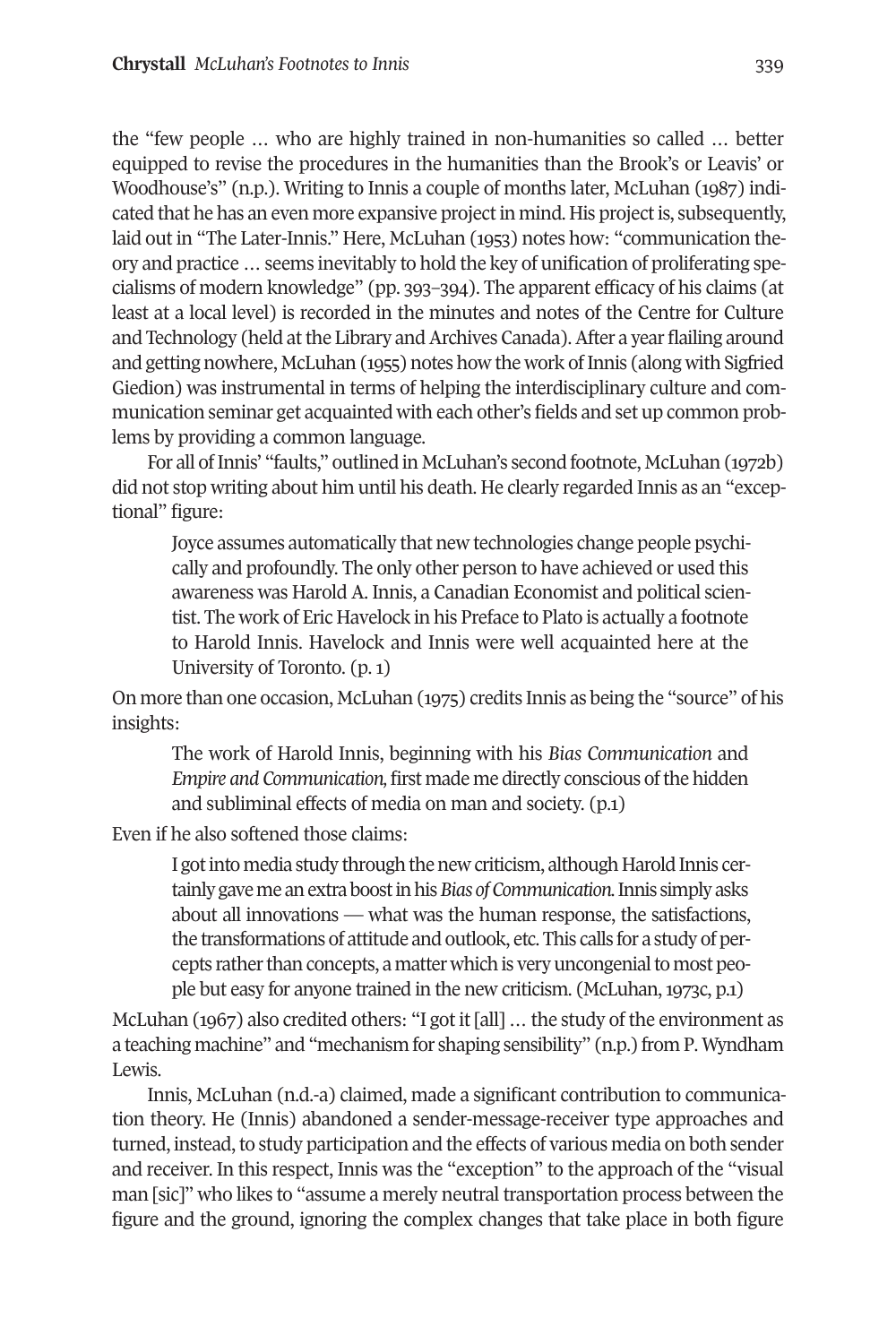the "few people … who are highly trained in non-humanities so called … better equipped to revise the procedures in the humanities than the Brook's or Leavis' or Woodhouse's" (n.p.). Writing to Innis a couple of months later, McLuhan (1987) indicated that he has an even more expansive project in mind. His project is, subsequently, laid out in "The Later-Innis." Here, McLuhan (1953) notes how: "communication theory and practice … seems inevitably to hold the key of unification of proliferating specialisms of modern knowledge" (pp. 393–394). The apparent efficacy of his claims (at least at a local level) is recorded in the minutes and notes of the Centre for Culture and Technology (held at the Library and Archives Canada). After a year flailing around and getting nowhere, McLuhan (1955) notes how the work of Innis (along with Sigfried Giedion) was instrumental in terms of helping the interdisciplinary culture and communication seminar get acquainted with each other's fields and set up common problems by providing a common language.

For all of Innis' "faults," outlined in McLuhan's second footnote, McLuhan (1972b) did not stop writing about him until his death. He clearly regarded Innis as an "exceptional" figure:

Joyce assumes automatically that new technologies change people psychically and profoundly. The only other person to have achieved or used this awareness was Harold A. Innis, a Canadian Economist and political scientist. The work of Eric Havelock in his Preface to Plato is actually a footnote to Harold Innis. Havelock and Innis were well acquainted here at the University of Toronto. (p. 1)

On more than one occasion, McLuhan (1975) credits Innis as being the "source" of his insights:

The work of Harold Innis, beginning with his *Bias Communication* and *Empire* and *Communication*, first made me directly conscious of the hidden and subliminal effects of media on man and society. (p.1)

Even if he also softened those claims:

I got into media study through the new criticism, although Harold Innis certainly gave me an extra boost in his Bias of Communication. Innis simply asks about all innovations — what was the human response, the satisfactions, the transformations of attitude and outlook, etc.This calls for a study of percepts rather than concepts, a matter which is very uncongenial to most people but easy for anyone trained in the new criticism. (McLuhan,1973c, p.1)

McLuhan (1967) also credited others: "I got it [all] … the study of the environment as a teaching machine" and "mechanism for shaping sensibility" (n.p.) from P. Wyndham Lewis.

Innis, McLuhan (n.d.-a) claimed, made a significant contribution to communication theory. He (Innis) abandoned a sender-message-receiver type approaches and turned, instead, to study participation and the effects of various media on both sender and receiver. In this respect, Innis was the "exception" to the approach of the "visual man [sic]" who likes to "assume a merely neutral transportation process between the figure and the ground, ignoring the complex changes that take place in both figure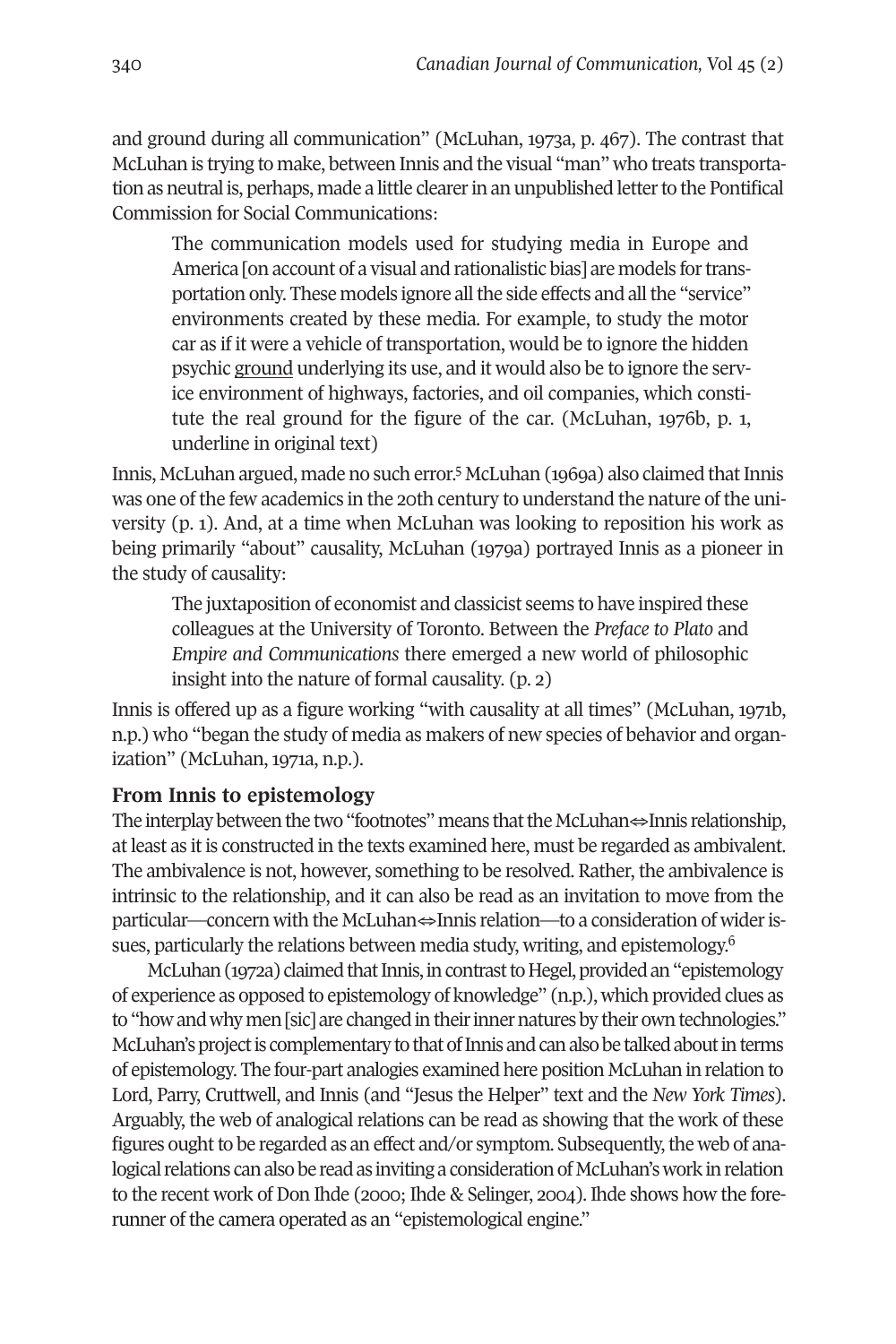and ground during all communication" (McLuhan, 1973a, p. 467). The contrast that McLuhan is trying to make, between Innis and the visual "man" who treats transportation as neutral is, perhaps, made a little clearer in an unpublished letter to the Pontifical Commission for Social Communications:

The communication models used for studying media in Europe and America [on account of a visual and rationalistic bias] are models for transportation only. These models ignore all the side effects and all the "service" environments created by these media. For example, to study the motor car as if it were a vehicle of transportation, would be to ignore the hidden psychic ground underlying its use, and it would also be to ignore the service environment of highways, factories, and oil companies, which constitute the real ground for the figure of the car. (McLuhan, 1976b, p. 1, underline in original text)

Innis, McLuhan argued, made no such error.<sup>[5](#page-15-4)</sup> McLuhan (1969a) also claimed that Innis was one of the few academics in the 20th century to understand the nature of the university (p. 1). And, at a time when McLuhan was looking to reposition his work as being primarily "about" causality, McLuhan (1979a) portrayed Innis as a pioneer in the study of causality:

The juxtaposition of economist and classicist seems to have inspired these colleagues at the University of Toronto. Between the *Preface to Plato* and *Empire and Communications* there emerged a new world of philosophic insight into the nature of formal causality. (p. 2)

Innis is offered up as a figure working "with causality at all times" (McLuhan, 1971b, n.p.) who "began the study of media as makers of new species of behavior and organization" (McLuhan, 1971a, n.p.).

### **From Innis to epistemology**

The interplay between the two "footnotes" means that the McLuhan $\Leftrightarrow$ Innis relationship, at least as it is constructed in the texts examined here, must be regarded as ambivalent. The ambivalence is not, however, something to be resolved. Rather, the ambivalence is intrinsic to the relationship, and it can also be read as an invitation to move from the particular—concern with the McLuhan⇔Innis relation—to a consideration of widerissues, particularly the relations between media study, writing, and epistemology. [6](#page-15-5)

McLuhan (1972a) claimed that Innis, in contrast to Hegel, provided an "epistemology of experience as opposed to epistemology of knowledge" (n.p.), which provided clues as to "how and why men [sic] are changed in their inner natures by their own technologies." McLuhan's project is complementary to that of Innis and can also be talked about in terms of epistemology. The four-part analogies examined here position McLuhan in relation to Lord, Parry, Cruttwell, and Innis (and "Jesus the Helper" text and the *New York Times*). Arguably, the web of analogical relations can be read as showing that the work of these figures ought to be regarded as an effect and/or symptom. Subsequently, the web of analogical relations can also be read as inviting a consideration of McLuhan's work in relation to the recent work of Don Ihde (2000; Ihde & Selinger, 2004). Ihde shows how the forerunner of the camera operated as an "epistemological engine."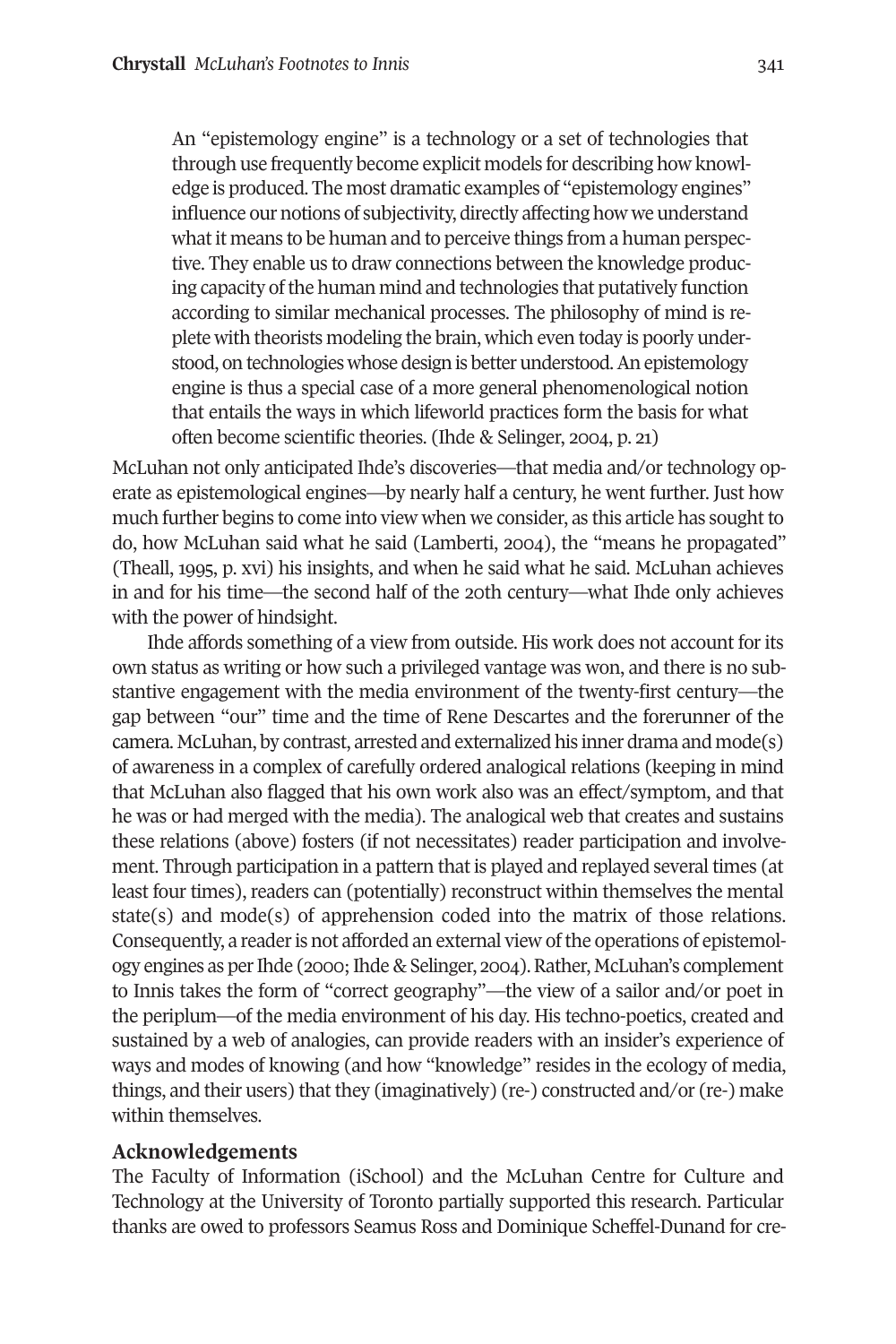An "epistemology engine" is a technology or a set of technologies that through use frequently become explicit models for describing how knowledge is produced. The most dramatic examples of "epistemology engines" influence our notions of subjectivity, directly affecting how we understand what it means to be human and to perceive things from a human perspective. They enable us to draw connections between the knowledge producing capacity of the human mind and technologies that putatively function according to similar mechanical processes. The philosophy of mind is replete with theorists modeling the brain, which even today is poorly understood, on technologies whose design is better understood.An epistemology engine is thus a special case of a more general phenomenological notion that entails the ways in which lifeworld practices form the basis for what often become scientific theories. (Ihde & Selinger, 2004, p. 21)

McLuhan not only anticipated Ihde's discoveries—that media and/or technology operate as epistemological engines—by nearly half a century, he went further. Just how much further begins to come into view when we consider, as this article has sought to do, how McLuhan said what he said (Lamberti, 2004), the "means he propagated" (Theall, 1995, p. xvi) his insights, and when he said what he said. McLuhan achieves in and for his time—the second half of the 20th century—what Ihde only achieves with the power of hindsight.

Ihde affords something of a view from outside. His work does not account for its own status as writing or how such a privileged vantage was won, and there is no substantive engagement with the media environment of the twenty-first century—the gap between "our" time and the time of Rene Descartes and the forerunner of the camera. McLuhan, by contrast, arrested and externalized his inner drama and mode(s) of awareness in a complex of carefully ordered analogical relations (keeping in mind that McLuhan also flagged that his own work also was an effect/symptom, and that he was or had merged with the media). The analogical web that creates and sustains these relations (above) fosters (if not necessitates) reader participation and involvement. Through participation in a pattern that is played and replayed several times (at least four times), readers can (potentially) reconstruct within themselves the mental state(s) and mode(s) of apprehension coded into the matrix of those relations. Consequently, a reader is not afforded an external view of the operations of epistemology engines as perIhde (2000;Ihde & Selinger, 2004).Rather, McLuhan's complement to Innis takes the form of "correct geography"—the view of a sailor and/or poet in the periplum—of the media environment of his day. His techno-poetics, created and sustained by a web of analogies, can provide readers with an insider's experience of ways and modes of knowing (and how "knowledge" resides in the ecology of media, things, and their users) that they (imaginatively) (re-) constructed and/or (re-) make within themselves.

#### **Acknowledgements**

The Faculty of Information (iSchool) and the McLuhan Centre for Culture and Technology at the University of Toronto partially supported this research. Particular thanks are owed to professors Seamus Ross and Dominique Scheffel-Dunand for cre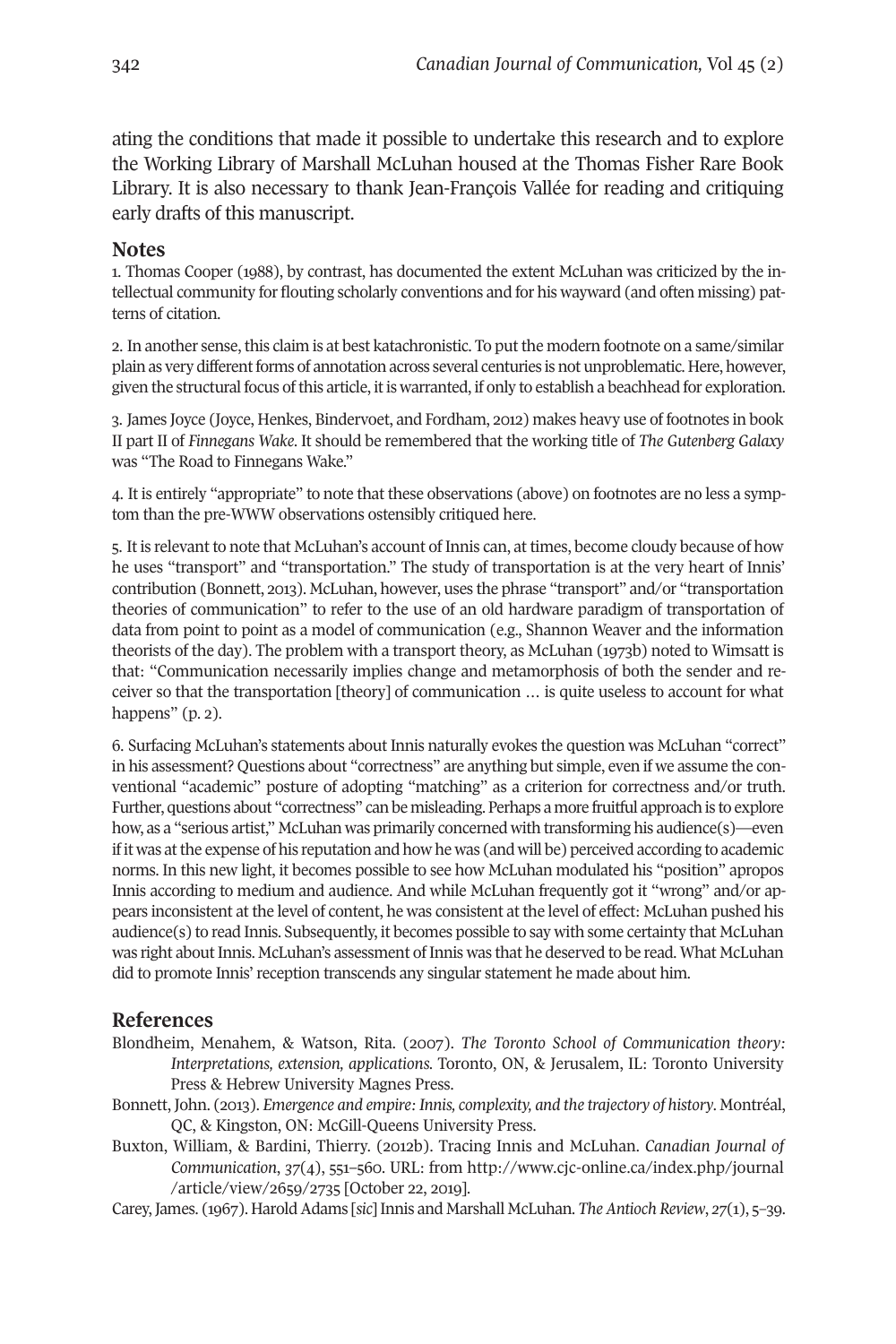ating the conditions that made it possible to undertake this research and to explore the Working Library of Marshall McLuhan housed at the Thomas Fisher Rare Book Library. It is also necessary to thank Jean-François Vallée for reading and critiquing early drafts of this manuscript.

#### <span id="page-15-0"></span>**Notes**

1. Thomas Cooper (1988), by contrast, has documented the extent McLuhan was criticized by the intellectual community for flouting scholarly conventions and for his wayward (and often missing) patterns of citation.

<span id="page-15-1"></span>2. In another sense, this claim is at best katachronistic. To put the modern footnote on a same/similar plain as very different forms of annotation across several centuries is not unproblematic. Here, however, given the structural focus of this article, it is warranted, if only to establish a beachhead for exploration.

<span id="page-15-2"></span>3. James Joyce (Joyce, Henkes, Bindervoet, and Fordham, 2012) makes heavy use of footnotes in book II part II of *Finnegans Wake*. It should be remembered that the working title of *The Gutenberg Galaxy* was "The Road to Finnegans Wake."

<span id="page-15-3"></span>4. It is entirely "appropriate" to note that these observations (above) on footnotes are no less a symptom than the pre-WWW observations ostensibly critiqued here.

<span id="page-15-4"></span>5. It is relevant to note that McLuhan's account of Innis can, at times, become cloudy because of how he uses "transport" and "transportation." The study of transportation is at the very heart of Innis' contribution (Bonnett, 2013). McLuhan, however, uses the phrase "transport" and/or "transportation theories of communication" to refer to the use of an old hardware paradigm of transportation of data from point to point as a model of communication (e.g., Shannon Weaver and the information theorists of the day). The problem with a transport theory, as McLuhan (1973b) noted to Wimsatt is that: "Communication necessarily implies change and metamorphosis of both the sender and receiver so that the transportation [theory] of communication … is quite useless to account for what happens" (p. 2).

<span id="page-15-5"></span>6. Surfacing McLuhan's statements about Innis naturally evokes the question was McLuhan "correct" in his assessment? Questions about "correctness" are anything but simple, even if we assume the conventional "academic" posture of adopting "matching" as a criterion for correctness and/or truth. Further, questions about "correctness" can be misleading. Perhaps a more fruitful approach is to explore how, as a "serious artist," McLuhan was primarily concerned with transforming his audience(s)—even if it was atthe expense of his reputation and how he was (and will be) perceived according to academic norms. In this new light, it becomes possible to see how McLuhan modulated his "position" apropos Innis according to medium and audience. And while McLuhan frequently got it "wrong" and/or appears inconsistent at the level of content, he was consistent at the level of effect: McLuhan pushed his audience(s) to read Innis. Subsequently, it becomes possible to say with some certainty that McLuhan was right about Innis. McLuhan's assessment of Innis was that he deserved to be read. What McLuhan did to promote Innis' reception transcends any singular statement he made about him.

#### **References**

- Blondheim, Menahem, & Watson, Rita. (2007). *The Toronto School of Communication theory: Interpretations, extension, applications.* Toronto, ON, & Jerusalem, IL: Toronto University Press & Hebrew University Magnes Press.
- Bonnett, John. (2013). *Emergence and empire: Innis, complexity, and the trajectory of history*. Montréal, QC, & Kingston, ON: McGill-Queens University Press.
- Buxton, William, & Bardini, Thierry. (2012b). Tracing Innis and McLuhan. *Canadian Journal of Communication*, *37*(4), 551**–**560. URL: from [http://www.cjc-online.ca/index.php/journal](http://www.cjc-online.ca/index.php/journal/article/view/2659/2735) [/article/view/2659/2735](http://www.cjc-online.ca/index.php/journal/article/view/2659/2735) [October 22, 2019].
- Carey, James. (1967). HaroldAdams [*sic*] Innis and Marshall McLuhan. *The Antioch Review*, *27*(1), 5–39.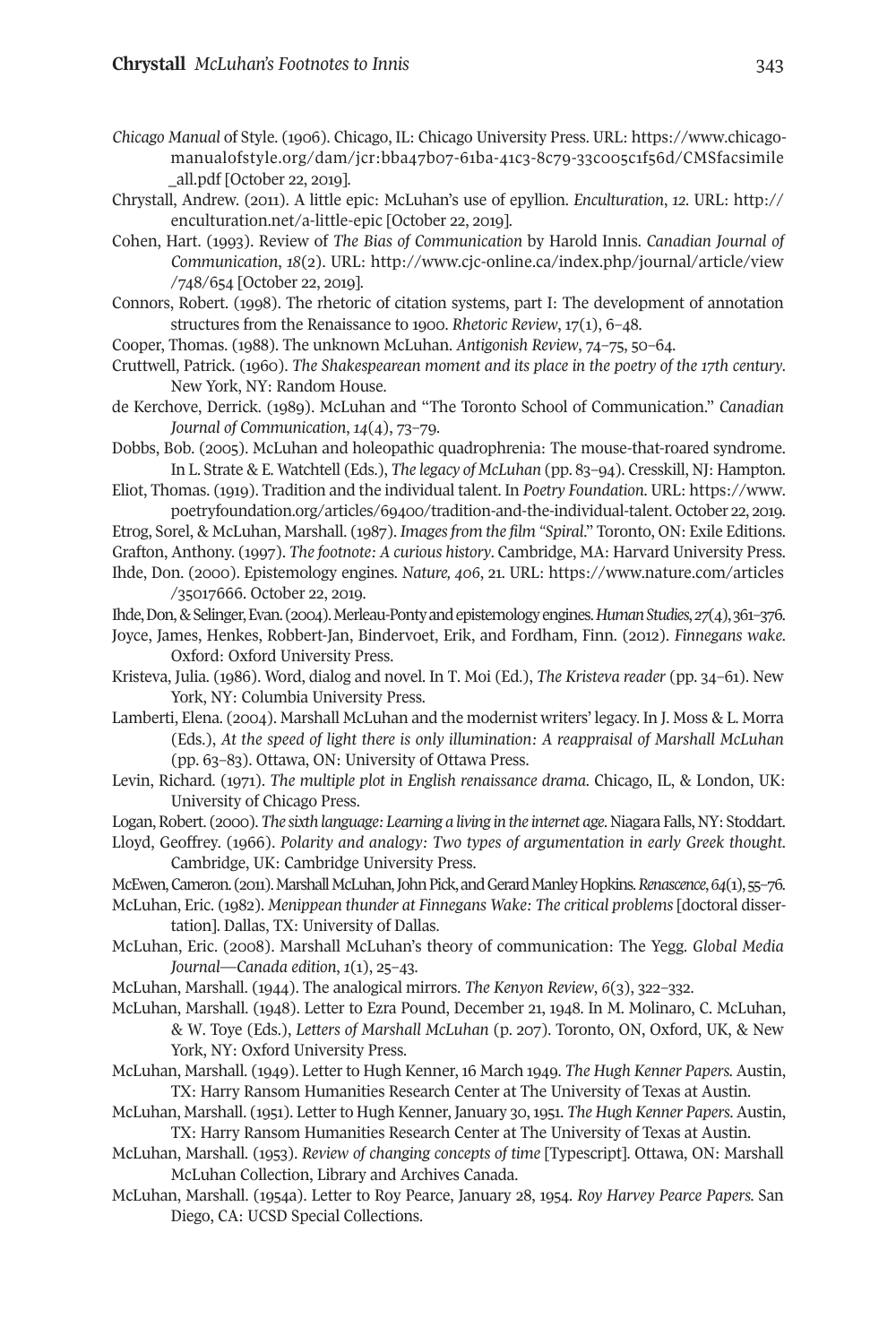- *Chicago Manual* of Style. (1906). Chicago, IL: Chicago University Press. URL: [https://www.chicago](https://www.chicagomanualofstyle.org/dam/jcr:bba47b07-61ba-41c3-8c79-33c005c1f56d/CMSfacsimile_all.pdf)[manualofstyle.org/dam/jcr:bba47b07-61ba-41c3-8c79-33c005c1f56d/CMSfacsimile](https://www.chicagomanualofstyle.org/dam/jcr:bba47b07-61ba-41c3-8c79-33c005c1f56d/CMSfacsimile_all.pdf) [\\_all.pdf](https://www.chicagomanualofstyle.org/dam/jcr:bba47b07-61ba-41c3-8c79-33c005c1f56d/CMSfacsimile_all.pdf) [October 22, 2019].
- Chrystall, Andrew. (2011). A little epic: McLuhan's use of epyllion. *Enculturation*, *12*. URL: [http://](http://enculturation.net/a-little-epic) [enculturation.net/a-little-epic](http://enculturation.net/a-little-epic) [October 22, 2019].
- Cohen, Hart. (1993). Review of *The Bias of Communication* by Harold Innis. *Canadian Journal of Communication*, *18*(2). URL: [http://www.cjc-online.ca/index.php/journal/article/view](http://www.cjc-online.ca/index.php/journal/article/view/748/654) [/748/654](http://www.cjc-online.ca/index.php/journal/article/view/748/654) [October 22, 2019].
- Connors, Robert. (1998). The rhetoric of citation systems, part I: The development of annotation structures from the Renaissance to 1900. *Rhetoric Review*, 17(1), 6–48.
- Cooper, Thomas. (1988). The unknown McLuhan. *Antigonish Review*, 74–75, 50–64.
- Cruttwell, Patrick. (1960). *The Shakespearean moment and its place in the poetry of the 17th century*. New York, NY: Random House.
- de Kerchove, Derrick. (1989). McLuhan and "The Toronto School of Communication." *Canadian Journal of Communication*, *14*(4), 73–79.
- Dobbs, Bob. (2005). McLuhan and holeopathic quadrophrenia: The mouse-that-roared syndrome. In L. Strate & E. Watchtell (Eds.), *The legacy of McLuhan* (pp. 83–94). Cresskill, NJ: Hampton.
- Eliot, Thomas. (1919). Tradition and the individual talent. In *Poetry Foundation*. URL: [https://www.](https://www.poetryfoundation.org/articles/69400/tradition-and-the-individual-talent) [poetryfoundation.org/articles/69400/tradition-and-the-individual-talent.](https://www.poetryfoundation.org/articles/69400/tradition-and-the-individual-talent) October 22, 2019.

Etrog, Sorel, & McLuhan, Marshall. (1987). *Imagesfrom the film "Spiral*." Toronto, ON: Exile Editions. Grafton, Anthony. (1997). *The footnote: A curious history*. Cambridge, MA: Harvard University Press.

- Ihde, Don. (2000). Epistemology engines. *Nature, 406*, 21. URL: [https://www.nature.com/articles](https://www.nature.com/articles/35017666) [/35017666.](https://www.nature.com/articles/35017666) October 22, 2019.
- Ihde,Don,&Selinger,Evan. (2004).Merleau-Pontyandepistemologyengines.*HumanStudies*,*27*(4),361–376.
- Joyce, James, Henkes, Robbert-Jan, Bindervoet, Erik, and Fordham, Finn. (2012). *Finnegans wake*. Oxford: Oxford University Press.
- Kristeva, Julia. (1986). Word, dialog and novel. In T. Moi (Ed.), *The Kristeva reader* (pp. 34–61). New York, NY: Columbia University Press.
- Lamberti, Elena. (2004). Marshall McLuhan and the modernist writers' legacy. In J. Moss & L. Morra (Eds.), *At the speed of light there is only illumination: A reappraisal of Marshall McLuhan* (pp. 63–83). Ottawa, ON: University of Ottawa Press.
- Levin, Richard. (1971). *The multiple plot in English renaissance drama*. Chicago, IL, & London, UK: University of Chicago Press.
- Logan,Robert. (2000).*The sixth language: Learning a living in the internet age*. Niagara Falls, NY: Stoddart.
- Lloyd, Geoffrey. (1966). *Polarity and analogy: Two types of argumentation in early Greek thought*. Cambridge, UK: Cambridge University Press.
- McEwen,Cameron. (2011).MarshallMcLuhan,JohnPick,andGerardManleyHopkins.*Renascence*,*64*(1),55–76.
- McLuhan, Eric. (1982). *Menippean thunder at Finnegans Wake: The critical problems* [doctoral dissertation]. Dallas, TX: University of Dallas.
- McLuhan, Eric. (2008). Marshall McLuhan's theory of communication: The Yegg. *Global Media Journal—Canada edition*, *1*(1), 25–43.
- McLuhan, Marshall. (1944). The analogical mirrors. *The Kenyon Review*, *6*(3), 322–332.
- McLuhan, Marshall. (1948). Letter to Ezra Pound, December 21, 1948. In M. Molinaro, C. McLuhan, & W. Toye (Eds.), *Letters of Marshall McLuhan* (p. 207). Toronto, ON, Oxford, UK, & New York, NY: Oxford University Press.
- McLuhan, Marshall. (1949). Letter to Hugh Kenner, 16 March 1949. *The Hugh Kenner Papers.* Austin, TX: Harry Ransom Humanities Research Center at The University of Texas at Austin.
- McLuhan, Marshall. (1951). Letterto Hugh Kenner, January 30,1951. *The Hugh Kenner Papers.* Austin, TX: Harry Ransom Humanities Research Center at The University of Texas at Austin.
- McLuhan, Marshall. (1953). *Review of changing concepts of time* [Typescript]. Ottawa, ON: Marshall McLuhan Collection, Library and Archives Canada.
- McLuhan, Marshall. (1954a). Letter to Roy Pearce, January 28, 1954. *Roy Harvey Pearce Papers.* San Diego, CA: UCSD Special Collections.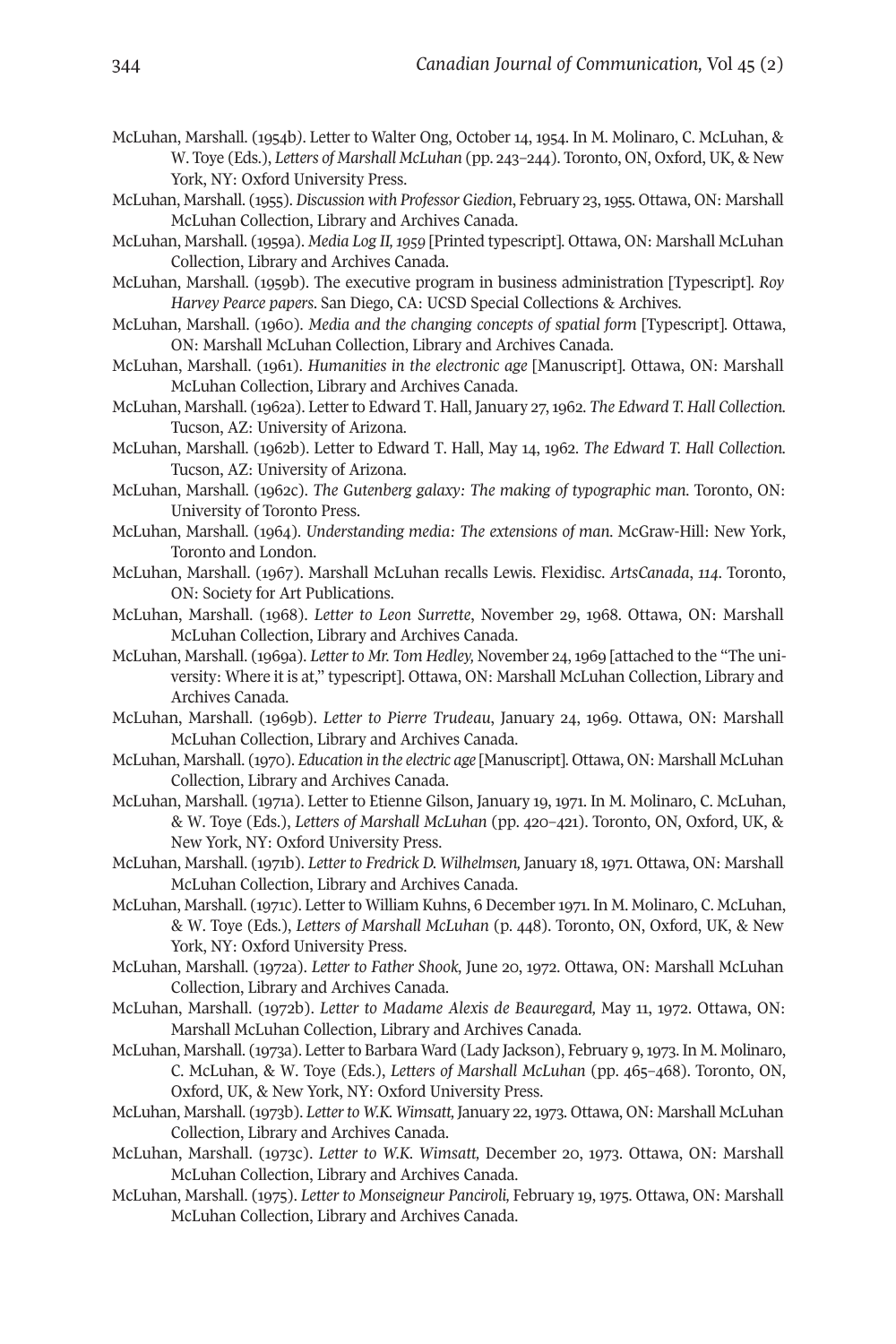- McLuhan, Marshall. (1954b*).* Letter to Walter Ong, October 14, 1954. In M. Molinaro, C. McLuhan, & W. Toye (Eds.), *Letters of Marshall McLuhan* (pp. 243–244). Toronto, ON, Oxford, UK, & New York, NY: Oxford University Press.
- McLuhan, Marshall. (1955). *Discussion with Professor Giedion*, February 23,1955. Ottawa, ON: Marshall McLuhan Collection, Library and Archives Canada.
- McLuhan, Marshall. (1959a). *Media Log II,1959* [Printed typescript]. Ottawa, ON: Marshall McLuhan Collection, Library and Archives Canada.
- McLuhan, Marshall. (1959b). The executive program in business administration [Typescript]. *Roy Harvey Pearce papers*. San Diego, CA: UCSD Special Collections & Archives.
- McLuhan, Marshall. (1960). *Media and the changing concepts of spatial form* [Typescript]. Ottawa, ON: Marshall McLuhan Collection, Library and Archives Canada.
- McLuhan, Marshall. (1961). *Humanities in the electronic age* [Manuscript]. Ottawa, ON: Marshall McLuhan Collection, Library and Archives Canada.
- McLuhan, Marshall. (1962a). Letterto Edward T. Hall, January 27,1962. *The Edward T. Hall Collection.* Tucson, AZ: University of Arizona.
- McLuhan, Marshall. (1962b). Letter to Edward T. Hall, May 14, 1962. *The Edward T. Hall Collection.* Tucson, AZ: University of Arizona.
- McLuhan, Marshall. (1962c). *The Gutenberg galaxy: The making of typographic man*. Toronto, ON: University of Toronto Press.
- McLuhan, Marshall. (1964). *Understanding media: The extensions of man*. McGraw-Hill: New York, Toronto and London.
- McLuhan, Marshall. (1967). Marshall McLuhan recalls Lewis. Flexidisc. *ArtsCanada*, *114*. Toronto, ON: Society for Art Publications.
- McLuhan, Marshall. (1968). *Letter to Leon Surrette*, November 29, 1968. Ottawa, ON: Marshall McLuhan Collection, Library and Archives Canada.
- McLuhan, Marshall. (1969a). *Letter to Mr. Tom Hedley,* November 24, 1969 [attached to the "The university: Where it is at," typescript]. Ottawa, ON: Marshall McLuhan Collection, Library and Archives Canada.
- McLuhan, Marshall. (1969b). *Letter to Pierre Trudeau*, January 24, 1969. Ottawa, ON: Marshall McLuhan Collection, Library and Archives Canada.
- McLuhan, Marshall. (1970). *Education in the electric age* [Manuscript]. Ottawa, ON: Marshall McLuhan Collection, Library and Archives Canada.
- McLuhan, Marshall. (1971a). Letter to Etienne Gilson, January 19, 1971. In M. Molinaro, C. McLuhan, & W. Toye (Eds.), *Letters of Marshall McLuhan* (pp. 420–421). Toronto, ON, Oxford, UK, & New York, NY: Oxford University Press.
- McLuhan, Marshall. (1971b). *Letter to Fredrick D. Wilhelmsen,* January 18, 1971. Ottawa, ON: Marshall McLuhan Collection, Library and Archives Canada.
- McLuhan, Marshall. (1971c). Letter to William Kuhns, 6 December 1971. In M. Molinaro, C. McLuhan, & W. Toye (Eds.), *Letters of Marshall McLuhan* (p. 448). Toronto, ON, Oxford, UK, & New York, NY: Oxford University Press.
- McLuhan, Marshall. (1972a). *Letter to Father Shook,* June 20, 1972. Ottawa, ON: Marshall McLuhan Collection, Library and Archives Canada.
- McLuhan, Marshall. (1972b). *Letter to Madame Alexis de Beauregard,* May 11, 1972. Ottawa, ON: Marshall McLuhan Collection, Library and Archives Canada.
- McLuhan, Marshall. (1973a). Letter to Barbara Ward (Lady Jackson), February 9, 1973. In M. Molinaro, C. McLuhan, & W. Toye (Eds.), *Letters of Marshall McLuhan* (pp. 465–468). Toronto, ON, Oxford, UK, & New York, NY: Oxford University Press.
- McLuhan, Marshall. (1973b). *Letterto W.K. Wimsatt,* January 22,1973. Ottawa, ON: Marshall McLuhan Collection, Library and Archives Canada.
- McLuhan, Marshall. (1973c). *Letter to W.K. Wimsatt,* December 20, 1973. Ottawa, ON: Marshall McLuhan Collection, Library and Archives Canada.
- McLuhan, Marshall. (1975). *Letter to Monseigneur Panciroli,* February 19, 1975. Ottawa, ON: Marshall McLuhan Collection, Library and Archives Canada.